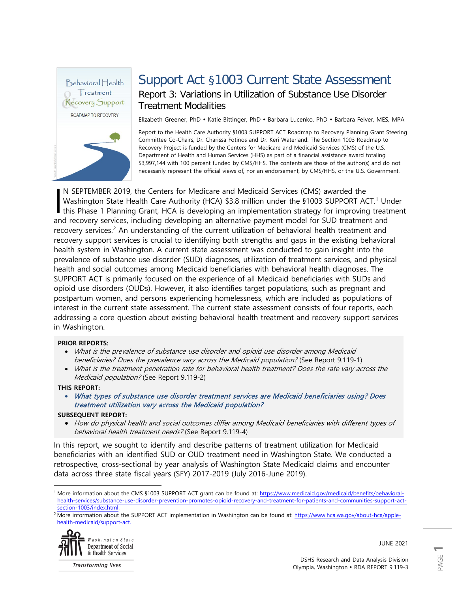

# Support Act §1003 Current State Assessment Report 3: Variations in Utilization of Substance Use Disorder Treatment Modalities

Elizabeth Greener, PhD · Katie Bittinger, PhD · Barbara Lucenko, PhD · Barbara Felver, MES, MPA

Report to the Health Care Authority §1003 SUPPORT ACT Roadmap to Recovery Planning Grant Steering Committee Co-Chairs, Dr. Charissa Fotinos and Dr. Keri Waterland. The Section 1003 Roadmap to Recovery Project is funded by the Centers for Medicare and Medicaid Services (CMS) of the U.S. Department of Health and Human Services (HHS) as part of a financial assistance award totaling \$3,997,144 with 100 percent funded by CMS/HHS. The contents are those of the author(s) and do not necessarily represent the official views of, nor an endorsement, by CMS/HHS, or the U.S. Government.

N SEPTEMBER 2019, the Centers for Medicare and Medicaid Services (CMS) awarded the Washington State Health Care Authority (HCA) \$3.8 million under the §[1](#page-0-0)003 SUPPORT ACT.<sup>1</sup> Under N SEPTEMBER 2019, the Centers for Medicare and Medicaid Services (CMS) awarded the<br>Washington State Health Care Authority (HCA) \$3.8 million under the \$1003 SUPPORT ACT.<sup>1</sup> Under<br>this Phase 1 Planning Grant, HCA is develop and recovery services, including developing an alternative payment model for SUD treatment and recovery services.<sup>[2](#page-0-1)</sup> An understanding of the current utilization of behavioral health treatment and recovery support services is crucial to identifying both strengths and gaps in the existing behavioral health system in Washington. A current state assessment was conducted to gain insight into the prevalence of substance use disorder (SUD) diagnoses, utilization of treatment services, and physical health and social outcomes among Medicaid beneficiaries with behavioral health diagnoses. The SUPPORT ACT is primarily focused on the experience of all Medicaid beneficiaries with SUDs and opioid use disorders (OUDs). However, it also identifies target populations, such as pregnant and postpartum women, and persons experiencing homelessness, which are included as populations of interest in the current state assessment. The current state assessment consists of four reports, each addressing a core question about existing behavioral health treatment and recovery support services in Washington.

### **PRIOR REPORTS:**

- What is the prevalence of substance use disorder and opioid use disorder among Medicaid beneficiaries? Does the prevalence vary across the Medicaid population? (See Report 9.119-1)
- What is the treatment penetration rate for behavioral health treatment? Does the rate vary across the Medicaid population? (See Report 9.119-2)

### **THIS REPORT:**

• What types of substance use disorder treatment services are Medicaid beneficiaries using? Does treatment utilization vary across the Medicaid population?

### **SUBSEQUENT REPORT:**

• How do physical health and social outcomes differ among Medicaid beneficiaries with different types of behavioral health treatment needs? (See Report 9.119-4)

In this report, we sought to identify and describe patterns of treatment utilization for Medicaid beneficiaries with an identified SUD or OUD treatment need in Washington State. We conducted a retrospective, cross-sectional by year analysis of Washington State Medicaid claims and encounter data across three state fiscal years (SFY) 2017-2019 (July 2016-June 2019).

<span id="page-0-1"></span><sup>&</sup>lt;sup>2</sup> More information about the SUPPORT ACT implementation in Washington can be found at[: https://www.hca.wa.gov/about-hca/apple](https://www.hca.wa.gov/about-hca/apple-health-medicaid/support-act)[health-medicaid/support-act.](https://www.hca.wa.gov/about-hca/apple-health-medicaid/support-act)



**Transforming lives** 

JUNE 2021

<span id="page-0-0"></span> $\overline{a}$ 1 More information about the CMS §1003 SUPPORT ACT grant can be found at: [https://www.medicaid.gov/medicaid/benefits/behavioral](https://www.medicaid.gov/medicaid/benefits/behavioral-health-services/substance-use-disorder-prevention-promotes-opioid-recovery-and-treatment-for-patients-and-communities-support-act-section-1003/index.html)[health-services/substance-use-disorder-prevention-promotes-opioid-recovery-and-treatment-for-patients-and-communities-support-act](https://www.medicaid.gov/medicaid/benefits/behavioral-health-services/substance-use-disorder-prevention-promotes-opioid-recovery-and-treatment-for-patients-and-communities-support-act-section-1003/index.html)[section-1003/index.html.](https://www.medicaid.gov/medicaid/benefits/behavioral-health-services/substance-use-disorder-prevention-promotes-opioid-recovery-and-treatment-for-patients-and-communities-support-act-section-1003/index.html)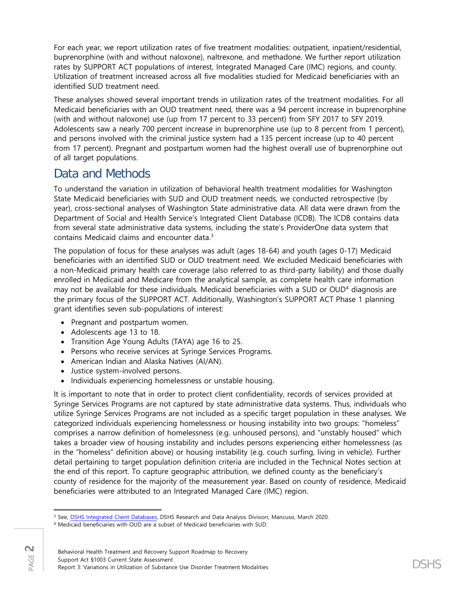For each year, we report utilization rates of five treatment modalities: outpatient, inpatient/residential, buprenorphine (with and without naloxone), naltrexone, and methadone. We further report utilization rates by SUPPORT ACT populations of interest, Integrated Managed Care (IMC) regions, and county. Utilization of treatment increased across all five modalities studied for Medicaid beneficiaries with an identified SUD treatment need.

These analyses showed several important trends in utilization rates of the treatment modalities. For all Medicaid beneficiaries with an OUD treatment need, there was a 94 percent increase in buprenorphine (with and without naloxone) use (up from 17 percent to 33 percent) from SFY 2017 to SFY 2019. Adolescents saw a nearly 700 percent increase in buprenorphine use (up to 8 percent from 1 percent), and persons involved with the criminal justice system had a 135 percent increase (up to 40 percent from 17 percent). Pregnant and postpartum women had the highest overall use of buprenorphine out of all target populations.

# Data and Methods

To understand the variation in utilization of behavioral health treatment modalities for Washington State Medicaid beneficiaries with SUD and OUD treatment needs, we conducted retrospective (by year), cross-sectional analyses of Washington State administrative data. All data were drawn from the Department of Social and Health Service's Integrated Client Database (ICDB). The ICDB contains data from several state administrative data systems, including the state's ProviderOne data system that contains Medicaid claims and encounter data.[3](#page-1-0)

The population of focus for these analyses was adult (ages 18-64) and youth (ages 0-17) Medicaid beneficiaries with an identified SUD or OUD treatment need. We excluded Medicaid beneficiaries with a non-Medicaid primary health care coverage (also referred to as third-party liability) and those dually enrolled in Medicaid and Medicare from the analytical sample, as complete health care information may not be available for these individuals. Medicaid beneficiaries with a SUD or OUD[4](#page-1-1) diagnosis are the primary focus of the SUPPORT ACT. Additionally, Washington's SUPPORT ACT Phase 1 planning grant identifies seven sub-populations of interest:

- Pregnant and postpartum women.
- Adolescents age 13 to 18.
- Transition Age Young Adults (TAYA) age 16 to 25.
- Persons who receive services at Syringe Services Programs.
- American Indian and Alaska Natives (AI/AN).
- Justice system-involved persons.
- Individuals experiencing homelessness or unstable housing.

It is important to note that in order to protect client confidentiality, records of services provided at Syringe Services Programs are not captured by state administrative data systems. Thus, individuals who utilize Syringe Services Programs are not included as a specific target population in these analyses. We categorized individuals experiencing homelessness or housing instability into two groups: "homeless" comprises a narrow definition of homelessness (e.g. unhoused persons), and "unstably housed" which takes a broader view of housing instability and includes persons experiencing either homelessness (as in the "homeless" definition above) or housing instability (e.g. couch surfing, living in vehicle). Further detail pertaining to target population definition criteria are included in the Technical Notes section at the end of this report. To capture geographic attribution, we defined county as the beneficiary's county of residence for the majority of the measurement year. Based on county of residence, Medicaid beneficiaries were attributed to an Integrated Managed Care (IMC) region.

 $\overline{\phantom{a}}$ <sup>3</sup> See, [DSHS Integrated Client Databases,](https://www.dshs.wa.gov/ffa/rda/research-reports/dshs-integrated-client-databases) DSHS Research and Data Analysis Division, Mancuso, March 2020.

<span id="page-1-1"></span><span id="page-1-0"></span><sup>4</sup> Medicaid beneficiaries with OUD are a subset of Medicaid beneficiaries with SUD.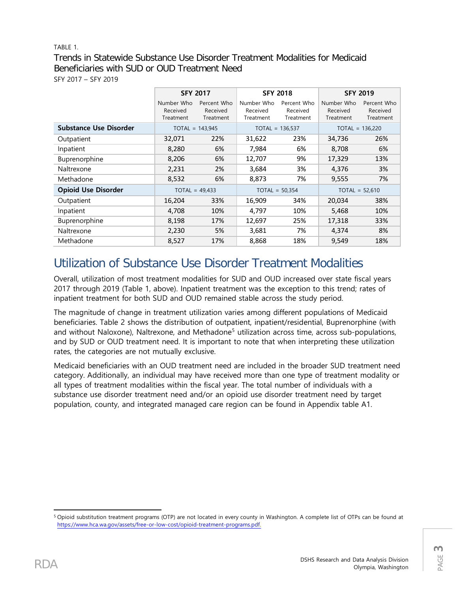# TABLE 1. Trends in Statewide Substance Use Disorder Treatment Modalities for Medicaid Beneficiaries with SUD or OUD Treatment Need SFY 2017 – SFY 2019

|                               | <b>SFY 2017</b>        |                         |                        | <b>SFY 2018</b>         | <b>SFY 2019</b>        |                         |  |
|-------------------------------|------------------------|-------------------------|------------------------|-------------------------|------------------------|-------------------------|--|
|                               | Number Who<br>Received | Percent Who<br>Received | Number Who<br>Received | Percent Who<br>Received | Number Who<br>Received | Percent Who<br>Received |  |
| <b>Substance Use Disorder</b> | Treatment              | Treatment               | Treatment              | Treatment               | Treatment              | Treatment               |  |
|                               |                        | $TOTAL = 143,945$       |                        | $TOTAL = 136,537$       | $TOTAL = 136,220$      |                         |  |
| Outpatient                    | 32,071                 | 22%                     | 31,622                 | 23%                     | 34,736                 | 26%                     |  |
| Inpatient                     | 8,280                  | 6%                      | 7,984                  | 6%                      | 8,708                  | 6%                      |  |
| Buprenorphine                 | 8,206                  | 6%                      | 12,707                 | 9%                      | 17,329                 | 13%                     |  |
| Naltrexone                    | 2,231                  | 2%                      | 3,684                  | 3%                      | 4,376                  | 3%                      |  |
| Methadone                     | 8,532                  | 6%                      | 8,873                  | 7%                      | 9,555                  | 7%                      |  |
| <b>Opioid Use Disorder</b>    |                        | $TOTAL = 49,433$        | $TOTAL = 50,354$       |                         |                        | $TOTAL = 52,610$        |  |
| Outpatient                    | 16,204                 | 33%                     | 16,909                 | 34%                     | 20,034                 | 38%                     |  |
| Inpatient                     | 4,708                  | 10%                     | 4,797                  | 10%                     | 5,468                  | 10%                     |  |
| Buprenorphine                 | 8,198                  | 17%                     | 12,697                 | 25%                     | 17,318                 | 33%                     |  |
| Naltrexone                    | 2,230                  | 5%                      | 3,681                  | 7%                      | 4,374                  | 8%                      |  |
| Methadone                     | 8,527                  | 17%                     | 8,868                  | 18%                     | 9,549                  | 18%                     |  |

# Utilization of Substance Use Disorder Treatment Modalities

Overall, utilization of most treatment modalities for SUD and OUD increased over state fiscal years 2017 through 2019 (Table 1, above). Inpatient treatment was the exception to this trend; rates of inpatient treatment for both SUD and OUD remained stable across the study period.

The magnitude of change in treatment utilization varies among different populations of Medicaid beneficiaries. Table 2 shows the distribution of outpatient, inpatient/residential, Buprenorphine (with and without Naloxone), Naltrexone, and Methadone<sup>[5](#page-2-0)</sup> utilization across time, across sub-populations, and by SUD or OUD treatment need. It is important to note that when interpreting these utilization rates, the categories are not mutually exclusive.

Medicaid beneficiaries with an OUD treatment need are included in the broader SUD treatment need category. Additionally, an individual may have received more than one type of treatment modality or all types of treatment modalities within the fiscal year. The total number of individuals with a substance use disorder treatment need and/or an opioid use disorder treatment need by target population, county, and integrated managed care region can be found in Appendix table A1.

<span id="page-2-0"></span> $\overline{\phantom{a}}$ <sup>5</sup> Opioid substitution treatment programs (OTP) are not located in every county in Washington. A complete list of OTPs can be found at [https://www.hca.wa.gov/assets/free-or-low-cost/opioid-treatment-programs.pdf.](https://www.hca.wa.gov/assets/free-or-low-cost/opioid-treatment-programs.pdf)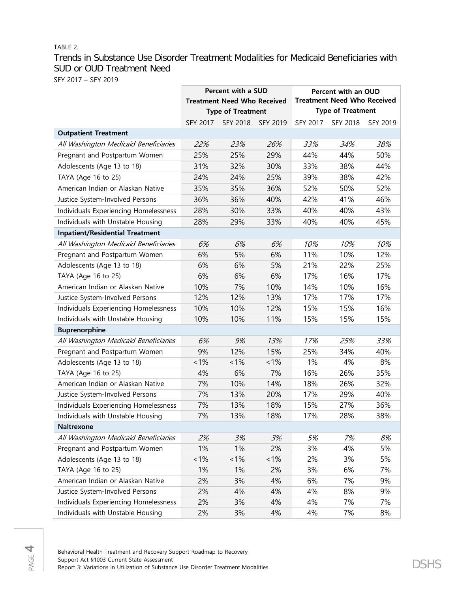## TABLE 2.

# Trends in Substance Use Disorder Treatment Modalities for Medicaid Beneficiaries with SUD or OUD Treatment Need

SFY 2017 – SFY 2019

|                                        |          | <b>Percent with a SUD</b>          |                 | Percent with an OUD                |                          |          |  |  |
|----------------------------------------|----------|------------------------------------|-----------------|------------------------------------|--------------------------|----------|--|--|
|                                        |          | <b>Treatment Need Who Received</b> |                 | <b>Treatment Need Who Received</b> |                          |          |  |  |
|                                        |          | <b>Type of Treatment</b>           |                 |                                    | <b>Type of Treatment</b> |          |  |  |
|                                        | SFY 2017 | <b>SFY 2018</b>                    | <b>SFY 2019</b> | SFY 2017                           | SFY 2018                 | SFY 2019 |  |  |
| <b>Outpatient Treatment</b>            |          |                                    |                 |                                    |                          |          |  |  |
| All Washington Medicaid Beneficiaries  | 22%      | 23%                                | 26%             | 33%                                | 34%                      | 38%      |  |  |
| Pregnant and Postpartum Women          | 25%      | 25%                                | 29%             | 44%                                | 44%                      | 50%      |  |  |
| Adolescents (Age 13 to 18)             | 31%      | 32%                                | 30%             | 33%                                | 38%                      | 44%      |  |  |
| TAYA (Age 16 to 25)                    | 24%      | 24%                                | 25%             | 39%                                | 38%                      | 42%      |  |  |
| American Indian or Alaskan Native      | 35%      | 35%                                | 36%             | 52%                                | 50%                      | 52%      |  |  |
| Justice System-Involved Persons        | 36%      | 36%                                | 40%             | 42%                                | 41%                      | 46%      |  |  |
| Individuals Experiencing Homelessness  | 28%      | 30%                                | 33%             | 40%                                | 40%                      | 43%      |  |  |
| Individuals with Unstable Housing      | 28%      | 29%                                | 33%             | 40%                                | 40%                      | 45%      |  |  |
| <b>Inpatient/Residential Treatment</b> |          |                                    |                 |                                    |                          |          |  |  |
| All Washington Medicaid Beneficiaries  | 6%       | 6%                                 | 6%              | 10%                                | 10%                      | 10%      |  |  |
| Pregnant and Postpartum Women          | 6%       | 5%                                 | 6%              | 11%                                | 10%                      | 12%      |  |  |
| Adolescents (Age 13 to 18)             | 6%       | 6%                                 | 5%              | 21%                                | 22%                      | 25%      |  |  |
| TAYA (Age 16 to 25)                    | 6%       | 6%                                 | 6%              | 17%                                | 16%                      | 17%      |  |  |
| American Indian or Alaskan Native      | 10%      | 7%                                 | 10%             | 14%                                | 10%                      | 16%      |  |  |
| Justice System-Involved Persons        | 12%      | 12%                                | 13%             | 17%                                | 17%                      | 17%      |  |  |
| Individuals Experiencing Homelessness  | 10%      | 10%                                | 12%             | 15%                                | 15%                      | 16%      |  |  |
| Individuals with Unstable Housing      | 10%      | 10%                                | 11%             | 15%                                | 15%                      | 15%      |  |  |
| <b>Buprenorphine</b>                   |          |                                    |                 |                                    |                          |          |  |  |
| All Washington Medicaid Beneficiaries  | 6%       | 9%                                 | 13%             | 17%                                | 25%                      | 33%      |  |  |
| Pregnant and Postpartum Women          | 9%       | 12%                                | 15%             | 25%                                | 34%                      | 40%      |  |  |
| Adolescents (Age 13 to 18)             | $< 1\%$  | $~1\%$                             | $~1\%$          | 1%                                 | 4%                       | 8%       |  |  |
| TAYA (Age 16 to 25)                    | 4%       | 6%                                 | 7%              | 16%                                | 26%                      | 35%      |  |  |
| American Indian or Alaskan Native      | 7%       | 10%                                | 14%             | 18%                                | 26%                      | 32%      |  |  |
| Justice System-Involved Persons        | 7%       | 13%                                | 20%             | 17%                                | 29%                      | 40%      |  |  |
| Individuals Experiencing Homelessness  | 7%       | 13%                                | 18%             | 15%                                | 27%                      | 36%      |  |  |
| Individuals with Unstable Housing      | 7%       | 13%                                | 18%             | 17%                                | 28%                      | 38%      |  |  |
| Naltrexone                             |          |                                    |                 |                                    |                          |          |  |  |
| All Washington Medicaid Beneficiaries  | 2%       | 3%                                 | 3%              | 5%                                 | 7%                       | 8%       |  |  |
| Pregnant and Postpartum Women          | 1%       | 1%                                 | 2%              | 3%                                 | 4%                       | 5%       |  |  |
| Adolescents (Age 13 to 18)             | $< 1\%$  | $< 1\%$                            | $~1\%$          | 2%                                 | 3%                       | 5%       |  |  |
| TAYA (Age 16 to 25)                    | 1%       | 1%                                 | 2%              | 3%                                 | 6%                       | 7%       |  |  |
| American Indian or Alaskan Native      | 2%       | 3%                                 | 4%              | 6%                                 | 7%                       | 9%       |  |  |
| Justice System-Involved Persons        | 2%       | 4%                                 | 4%              | 4%                                 | 8%                       | 9%       |  |  |
| Individuals Experiencing Homelessness  | 2%       | 3%                                 | 4%              | 4%                                 | 7%                       | 7%       |  |  |
| Individuals with Unstable Housing      | 2%       | 3%                                 | 4%              | 4%                                 | 7%                       | 8%       |  |  |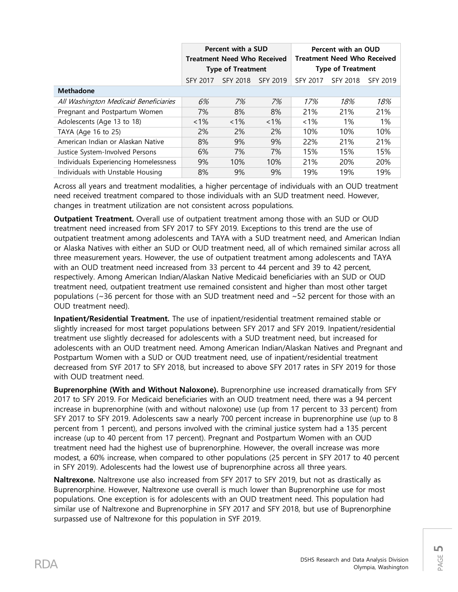|                                       |                 | Percent with a SUD<br><b>Treatment Need Who Received</b><br><b>Type of Treatment</b> |          | Percent with an OUD<br><b>Treatment Need Who Received</b><br><b>Type of Treatment</b> |          |          |  |
|---------------------------------------|-----------------|--------------------------------------------------------------------------------------|----------|---------------------------------------------------------------------------------------|----------|----------|--|
|                                       | <b>SFY 2017</b> | <b>SFY 2018</b>                                                                      | SFY 2019 | <b>SFY 2017</b>                                                                       | SFY 2018 | SFY 2019 |  |
| <b>Methadone</b>                      |                 |                                                                                      |          |                                                                                       |          |          |  |
| All Washington Medicaid Beneficiaries | 6%              | 7%                                                                                   | 7%       | 17%                                                                                   | 18%      | 18%      |  |
| Pregnant and Postpartum Women         | 7%              | 8%                                                                                   | 8%       | 21%                                                                                   | 21%      | 21%      |  |
| Adolescents (Age 13 to 18)            | $< 1\%$         | $< 1\%$                                                                              | $< 1\%$  | $< 1\%$                                                                               | 1%       | 1%       |  |
| TAYA (Age 16 to 25)                   | 2%              | 2%                                                                                   | 2%       | 10%                                                                                   | 10%      | 10%      |  |
| American Indian or Alaskan Native     | 8%              | 9%                                                                                   | 9%       | 22%                                                                                   | 21%      | 21%      |  |
| Justice System-Involved Persons       | 6%              | 7%                                                                                   | 7%       | 15%                                                                                   | 15%      | 15%      |  |
| Individuals Experiencing Homelessness | 9%              | 10%                                                                                  | 10%      | 21%                                                                                   | 20%      | 20%      |  |
| Individuals with Unstable Housing     | 8%              | 9%                                                                                   | 9%       | 19%                                                                                   | 19%      | 19%      |  |

Across all years and treatment modalities, a higher percentage of individuals with an OUD treatment need received treatment compared to those individuals with an SUD treatment need. However, changes in treatment utilization are not consistent across populations.

**Outpatient Treatment.** Overall use of outpatient treatment among those with an SUD or OUD treatment need increased from SFY 2017 to SFY 2019. Exceptions to this trend are the use of outpatient treatment among adolescents and TAYA with a SUD treatment need, and American Indian or Alaska Natives with either an SUD or OUD treatment need, all of which remained similar across all three measurement years. However, the use of outpatient treatment among adolescents and TAYA with an OUD treatment need increased from 33 percent to 44 percent and 39 to 42 percent, respectively. Among American Indian/Alaskan Native Medicaid beneficiaries with an SUD or OUD treatment need, outpatient treatment use remained consistent and higher than most other target populations (~36 percent for those with an SUD treatment need and ~52 percent for those with an OUD treatment need).

**Inpatient/Residential Treatment.** The use of inpatient/residential treatment remained stable or slightly increased for most target populations between SFY 2017 and SFY 2019. Inpatient/residential treatment use slightly decreased for adolescents with a SUD treatment need, but increased for adolescents with an OUD treatment need. Among American Indian/Alaskan Natives and Pregnant and Postpartum Women with a SUD or OUD treatment need, use of inpatient/residential treatment decreased from SYF 2017 to SFY 2018, but increased to above SFY 2017 rates in SFY 2019 for those with OUD treatment need.

**Buprenorphine (With and Without Naloxone).** Buprenorphine use increased dramatically from SFY 2017 to SFY 2019. For Medicaid beneficiaries with an OUD treatment need, there was a 94 percent increase in buprenorphine (with and without naloxone) use (up from 17 percent to 33 percent) from SFY 2017 to SFY 2019. Adolescents saw a nearly 700 percent increase in buprenorphine use (up to 8 percent from 1 percent), and persons involved with the criminal justice system had a 135 percent increase (up to 40 percent from 17 percent). Pregnant and Postpartum Women with an OUD treatment need had the highest use of buprenorphine. However, the overall increase was more modest, a 60% increase, when compared to other populations (25 percent in SFY 2017 to 40 percent in SFY 2019). Adolescents had the lowest use of buprenorphine across all three years.

**Naltrexone.** Naltrexone use also increased from SFY 2017 to SFY 2019, but not as drastically as Buprenorphine. However, Naltrexone use overall is much lower than Buprenorphine use for most populations. One exception is for adolescents with an OUD treatment need. This population had similar use of Naltrexone and Buprenorphine in SFY 2017 and SFY 2018, but use of Buprenorphine surpassed use of Naltrexone for this population in SYF 2019.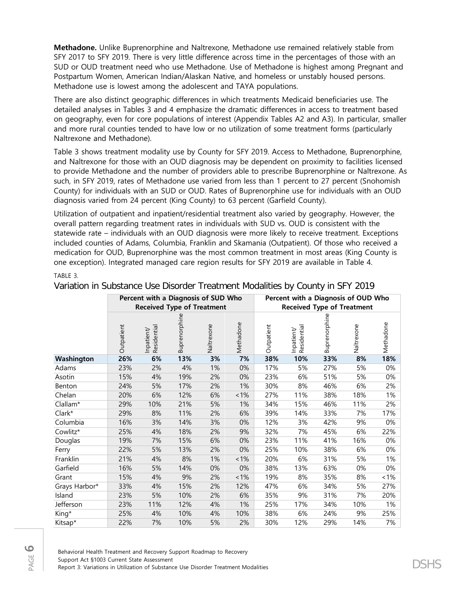**Methadone.** Unlike Buprenorphine and Naltrexone, Methadone use remained relatively stable from SFY 2017 to SFY 2019. There is very little difference across time in the percentages of those with an SUD or OUD treatment need who use Methadone. Use of Methadone is highest among Pregnant and Postpartum Women, American Indian/Alaskan Native, and homeless or unstably housed persons. Methadone use is lowest among the adolescent and TAYA populations.

There are also distinct geographic differences in which treatments Medicaid beneficiaries use. The detailed analyses in Tables 3 and 4 emphasize the dramatic differences in access to treatment based on geography, even for core populations of interest (Appendix Tables A2 and A3). In particular, smaller and more rural counties tended to have low or no utilization of some treatment forms (particularly Naltrexone and Methadone).

Table 3 shows treatment modality use by County for SFY 2019. Access to Methadone, Buprenorphine, and Naltrexone for those with an OUD diagnosis may be dependent on proximity to facilities licensed to provide Methadone and the number of providers able to prescribe Buprenorphine or Naltrexone. As such, in SFY 2019, rates of Methadone use varied from less than 1 percent to 27 percent (Snohomish County) for individuals with an SUD or OUD. Rates of Buprenorphine use for individuals with an OUD diagnosis varied from 24 percent (King County) to 63 percent (Garfield County).

Utilization of outpatient and inpatient/residential treatment also varied by geography. However, the overall pattern regarding treatment rates in individuals with SUD vs. OUD is consistent with the statewide rate – individuals with an OUD diagnosis were more likely to receive treatment. Exceptions included counties of Adams, Columbia, Franklin and Skamania (Outpatient). Of those who received a medication for OUD, Buprenorphine was the most common treatment in most areas (King County is one exception). Integrated managed care region results for SFY 2019 are available in Table 4.

## TABLE 3.

|               |            | Percent with a Diagnosis of SUD Who<br><b>Received Type of Treatment</b> |               |            |           | Percent with a Diagnosis of OUD Who<br><b>Received Type of Treatment</b> |                           |               |            |           |  |
|---------------|------------|--------------------------------------------------------------------------|---------------|------------|-----------|--------------------------------------------------------------------------|---------------------------|---------------|------------|-----------|--|
|               | Outpatient | Residential<br>Inpatient/                                                | Buprenorphine | Naltrexone | Methadone | Outpatient                                                               | Residential<br>Inpatient/ | Buprenorphine | Naltrexone | Methadone |  |
| Washington    | 26%        | 6%                                                                       | 13%           | 3%         | 7%        | 38%                                                                      | 10%                       | 33%           | 8%         | 18%       |  |
| Adams         | 23%        | 2%                                                                       | 4%            | 1%         | 0%        | 17%                                                                      | 5%                        | 27%           | 5%         | 0%        |  |
| Asotin        | 15%        | 4%                                                                       | 19%           | 2%         | 0%        | 23%                                                                      | 6%                        | 51%           | 5%         | 0%        |  |
| Benton        | 24%        | 5%                                                                       | 17%           | 2%         | 1%        | 30%                                                                      | 8%                        | 46%           | 6%         | 2%        |  |
| Chelan        | 20%        | 6%                                                                       | 12%           | 6%         | $~1\%$    | 27%                                                                      | 11%                       | 38%           | 18%        | 1%        |  |
| Clallam*      | 29%        | 10%                                                                      | 21%           | 5%         | 1%        | 34%                                                                      | 15%                       | 46%           | 11%        | 2%        |  |
| Clark*        | 29%        | 8%                                                                       | 11%           | 2%         | 6%        | 39%                                                                      | 14%                       | 33%           | 7%         | 17%       |  |
| Columbia      | 16%        | 3%                                                                       | 14%           | 3%         | 0%        | 12%                                                                      | 3%                        | 42%           | 9%         | 0%        |  |
| Cowlitz*      | 25%        | 4%                                                                       | 18%           | 2%         | 9%        | 32%                                                                      | 7%                        | 45%           | 6%         | 22%       |  |
| Douglas       | 19%        | 7%                                                                       | 15%           | 6%         | 0%        | 23%                                                                      | 11%                       | 41%           | 16%        | 0%        |  |
| Ferry         | 22%        | 5%                                                                       | 13%           | 2%         | 0%        | 25%                                                                      | 10%                       | 38%           | 6%         | 0%        |  |
| Franklin      | 21%        | 4%                                                                       | 8%            | 1%         | $1\%$     | 20%                                                                      | 6%                        | 31%           | 5%         | 1%        |  |
| Garfield      | 16%        | 5%                                                                       | 14%           | 0%         | 0%        | 38%                                                                      | 13%                       | 63%           | 0%         | 0%        |  |
| Grant         | 15%        | 4%                                                                       | 9%            | 2%         | $1\%$     | 19%                                                                      | 8%                        | 35%           | 8%         | 1%        |  |
| Grays Harbor* | 33%        | 4%                                                                       | 15%           | 2%         | 12%       | 47%                                                                      | 6%                        | 34%           | 5%         | 27%       |  |
| Island        | 23%        | 5%                                                                       | 10%           | 2%         | 6%        | 35%                                                                      | 9%                        | 31%           | 7%         | 20%       |  |
| Jefferson     | 23%        | 11%                                                                      | 12%           | 4%         | 1%        | 25%                                                                      | 17%                       | 34%           | 10%        | 1%        |  |
| King*         | 25%        | 4%                                                                       | 10%           | 4%         | 10%       | 38%                                                                      | 6%                        | 24%           | 9%         | 25%       |  |
| Kitsap*       | 22%        | 7%                                                                       | 10%           | 5%         | 2%        | 30%                                                                      | 12%                       | 29%           | 14%        | 7%        |  |

Variation in Substance Use Disorder Treatment Modalities by County in SFY 2019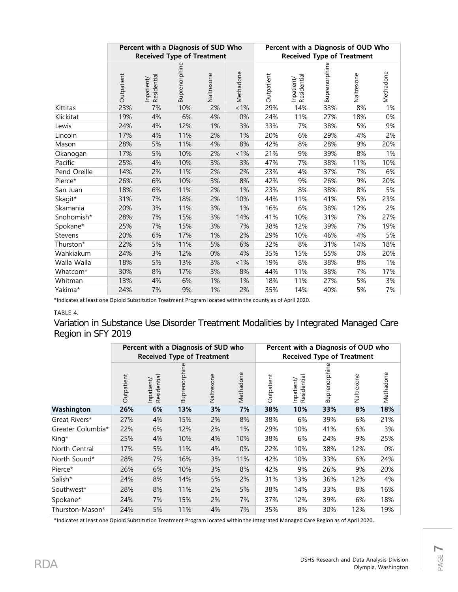|              |            | Percent with a Diagnosis of SUD Who<br><b>Received Type of Treatment</b> |               |            |           | Percent with a Diagnosis of OUD Who<br><b>Received Type of Treatment</b> |                           |               |            |           |  |
|--------------|------------|--------------------------------------------------------------------------|---------------|------------|-----------|--------------------------------------------------------------------------|---------------------------|---------------|------------|-----------|--|
|              | Outpatient | Inpatient/<br>Residential                                                | Buprenorphine | Naltrexone | Methadone | Outpatient                                                               | Residential<br>Inpatient/ | Buprenorphine | Naltrexone | Methadone |  |
| Kittitas     | 23%        | 7%                                                                       | 10%           | 2%         | $1\%$     | 29%                                                                      | 14%                       | 33%           | 8%         | 1%        |  |
| Klickitat    | 19%        | 4%                                                                       | 6%            | 4%         | 0%        | 24%                                                                      | 11%                       | 27%           | 18%        | 0%        |  |
| Lewis        | 24%        | 4%                                                                       | 12%           | 1%         | 3%        | 33%                                                                      | 7%                        | 38%           | 5%         | 9%        |  |
| Lincoln      | 17%        | 4%                                                                       | 11%           | 2%         | 1%        | 20%                                                                      | 6%                        | 29%           | 4%         | 2%        |  |
| Mason        | 28%        | 5%                                                                       | 11%           | 4%         | 8%        | 42%                                                                      | 8%                        | 28%           | 9%         | 20%       |  |
| Okanogan     | 17%        | 5%                                                                       | 10%           | 2%         | 1%        | 21%                                                                      | 9%                        | 39%           | 8%         | 1%        |  |
| Pacific      | 25%        | 4%                                                                       | 10%           | 3%         | 3%        | 47%                                                                      | 7%                        | 38%           | 11%        | 10%       |  |
| Pend Oreille | 14%        | 2%                                                                       | 11%           | 2%         | 2%        | 23%                                                                      | 4%                        | 37%           | 7%         | 6%        |  |
| Pierce*      | 26%        | 6%                                                                       | 10%           | 3%         | 8%        | 42%                                                                      | 9%                        | 26%           | 9%         | 20%       |  |
| San Juan     | 18%        | 6%                                                                       | 11%           | 2%         | 1%        | 23%                                                                      | 8%                        | 38%           | 8%         | 5%        |  |
| Skagit*      | 31%        | 7%                                                                       | 18%           | 2%         | 10%       | 44%                                                                      | 11%                       | 41%           | 5%         | 23%       |  |
| Skamania     | 20%        | 3%                                                                       | 11%           | 3%         | 1%        | 16%                                                                      | 6%                        | 38%           | 12%        | 2%        |  |
| Snohomish*   | 28%        | 7%                                                                       | 15%           | 3%         | 14%       | 41%                                                                      | 10%                       | 31%           | 7%         | 27%       |  |
| Spokane*     | 25%        | 7%                                                                       | 15%           | 3%         | 7%        | 38%                                                                      | 12%                       | 39%           | 7%         | 19%       |  |
| Stevens      | 20%        | 6%                                                                       | 17%           | 1%         | 2%        | 29%                                                                      | 10%                       | 46%           | 4%         | 5%        |  |
| Thurston*    | 22%        | 5%                                                                       | 11%           | 5%         | 6%        | 32%                                                                      | 8%                        | 31%           | 14%        | 18%       |  |
| Wahkiakum    | 24%        | 3%                                                                       | 12%           | 0%         | 4%        | 35%                                                                      | 15%                       | 55%           | 0%         | 20%       |  |
| Walla Walla  | 18%        | 5%                                                                       | 13%           | 3%         | 1%        | 19%                                                                      | 8%                        | 38%           | 8%         | 1%        |  |
| Whatcom*     | 30%        | 8%                                                                       | 17%           | 3%         | 8%        | 44%                                                                      | 11%                       | 38%           | 7%         | 17%       |  |
| Whitman      | 13%        | 4%                                                                       | 6%            | 1%         | 1%        | 18%                                                                      | 11%                       | 27%           | 5%         | 3%        |  |
| Yakima*      | 24%        | 7%                                                                       | 9%            | 1%         | 2%        | 35%                                                                      | 14%                       | 40%           | 5%         | 7%        |  |

\*Indicates at least one Opioid Substitution Treatment Program located within the county as of April 2020.

# TABLE 4.

Variation in Substance Use Disorder Treatment Modalities by Integrated Managed Care Region in SFY 2019

|                   |            |                          | Percent with a Diagnosis of SUD who<br><b>Received Type of Treatment</b> |            |           | Percent with a Diagnosis of OUD who<br><b>Received Type of Treatment</b> |                          |              |            |           |  |
|-------------------|------------|--------------------------|--------------------------------------------------------------------------|------------|-----------|--------------------------------------------------------------------------|--------------------------|--------------|------------|-----------|--|
|                   | Outpatient | Residential<br>Inpatient | Buprenorphine                                                            | Naltrexone | Methadone | Outpatient                                                               | Residential<br>Inpatient | Buprenorphin | Naltrexone | Methadone |  |
| Washington        | 26%        | 6%                       | 13%                                                                      | 3%         | 7%        | 38%                                                                      | 10%                      | 33%          | 8%         | 18%       |  |
| Great Rivers*     | 27%        | 4%                       | 15%                                                                      | 2%         | 8%        | 38%                                                                      | 6%                       | 39%          | 6%         | 21%       |  |
| Greater Columbia* | 22%        | 6%                       | 12%                                                                      | 2%         | 1%        | 29%                                                                      | 10%                      | 41%          | 6%         | 3%        |  |
| King*             | 25%        | 4%                       | 10%                                                                      | 4%         | 10%       | 38%                                                                      | 6%                       | 24%          | 9%         | 25%       |  |
| North Central     | 17%        | 5%                       | 11%                                                                      | 4%         | 0%        | 22%                                                                      | 10%                      | 38%          | 12%        | 0%        |  |
| North Sound*      | 28%        | 7%                       | 16%                                                                      | 3%         | 11%       | 42%                                                                      | 10%                      | 33%          | 6%         | 24%       |  |
| Pierce*           | 26%        | 6%                       | 10%                                                                      | 3%         | 8%        | 42%                                                                      | 9%                       | 26%          | 9%         | 20%       |  |
| Salish*           | 24%        | 8%                       | 14%                                                                      | 5%         | 2%        | 31%                                                                      | 13%                      | 36%          | 12%        | 4%        |  |
| Southwest*        | 28%        | 8%                       | 11%                                                                      | 2%         | 5%        | 38%                                                                      | 14%                      | 33%          | 8%         | 16%       |  |
| Spokane*          | 24%        | 7%                       | 15%                                                                      | 2%         | 7%        | 37%                                                                      | 12%                      | 39%          | 6%         | 18%       |  |
| Thurston-Mason*   | 24%        | 5%                       | 11%                                                                      | 4%         | 7%        | 35%                                                                      | 8%                       | 30%          | 12%        | 19%       |  |

\*Indicates at least one Opioid Substitution Treatment Program located within the Integrated Managed Care Region as of April 2020.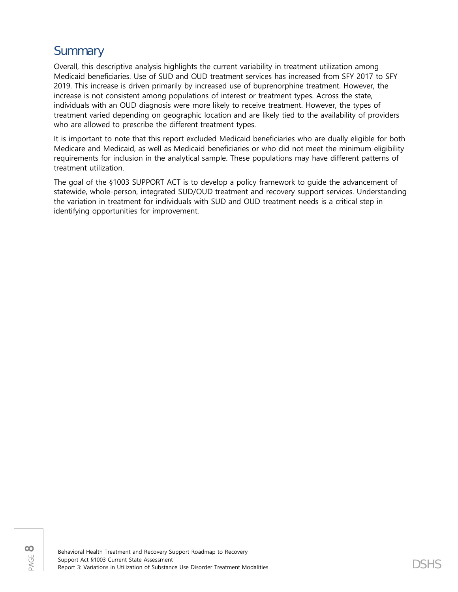# **Summary**

Overall, this descriptive analysis highlights the current variability in treatment utilization among Medicaid beneficiaries. Use of SUD and OUD treatment services has increased from SFY 2017 to SFY 2019. This increase is driven primarily by increased use of buprenorphine treatment. However, the increase is not consistent among populations of interest or treatment types. Across the state, individuals with an OUD diagnosis were more likely to receive treatment. However, the types of treatment varied depending on geographic location and are likely tied to the availability of providers who are allowed to prescribe the different treatment types.

It is important to note that this report excluded Medicaid beneficiaries who are dually eligible for both Medicare and Medicaid, as well as Medicaid beneficiaries or who did not meet the minimum eligibility requirements for inclusion in the analytical sample. These populations may have different patterns of treatment utilization.

The goal of the §1003 SUPPORT ACT is to develop a policy framework to guide the advancement of statewide, whole-person, integrated SUD/OUD treatment and recovery support services. Understanding the variation in treatment for individuals with SUD and OUD treatment needs is a critical step in identifying opportunities for improvement.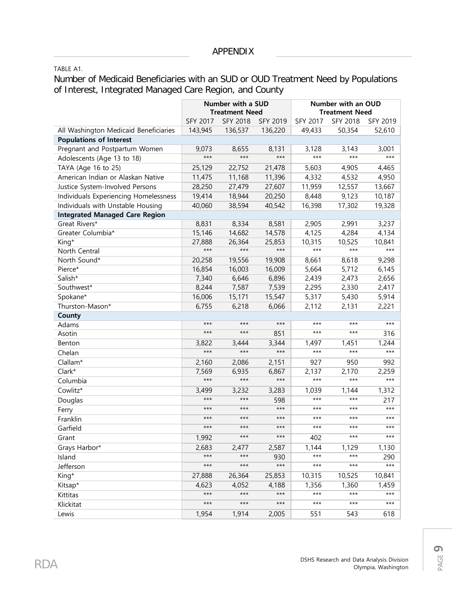TABLE A1.

Number of Medicaid Beneficiaries with an SUD or OUD Treatment Need by Populations of Interest, Integrated Managed Care Region, and County

|                                       |                 | Number with a SUD<br><b>Treatment Need</b> |          | Number with an OUD<br><b>Treatment Need</b> |          |          |  |
|---------------------------------------|-----------------|--------------------------------------------|----------|---------------------------------------------|----------|----------|--|
|                                       | <b>SFY 2017</b> | <b>SFY 2018</b>                            | SFY 2019 | SFY 2017                                    | SFY 2018 | SFY 2019 |  |
| All Washington Medicaid Beneficiaries | 143,945         | 136,537                                    | 136,220  | 49,433                                      | 50,354   | 52,610   |  |
| <b>Populations of Interest</b>        |                 |                                            |          |                                             |          |          |  |
| Pregnant and Postpartum Women         | 9,073           | 8,655                                      | 8,131    | 3,128                                       | 3,143    | 3,001    |  |
| Adolescents (Age 13 to 18)            | $***$           | $***$                                      | $***$    | $***$                                       | $***$    | $***$    |  |
| TAYA (Age 16 to 25)                   | 25,129          | 22,752                                     | 21,478   | 5,603                                       | 4,905    | 4,465    |  |
| American Indian or Alaskan Native     | 11,475          | 11,168                                     | 11,396   | 4,332                                       | 4,532    | 4,950    |  |
| Justice System-Involved Persons       | 28,250          | 27,479                                     | 27,607   | 11,959                                      | 12,557   | 13,667   |  |
| Individuals Experiencing Homelessness | 19,414          | 18,944                                     | 20,250   | 8,448                                       | 9,123    | 10,187   |  |
| Individuals with Unstable Housing     | 40,060          | 38,594                                     | 40,542   | 16,398                                      | 17,302   | 19,328   |  |
| <b>Integrated Managed Care Region</b> |                 |                                            |          |                                             |          |          |  |
| Great Rivers*                         | 8,831           | 8,334                                      | 8,581    | 2,905                                       | 2,991    | 3,237    |  |
| Greater Columbia*                     | 15,146          | 14,682                                     | 14,578   | 4,125                                       | 4,284    | 4,134    |  |
| King*                                 | 27,888          | 26,364                                     | 25,853   | 10,315                                      | 10,525   | 10,841   |  |
| North Central                         | $***$           | $***$                                      | $***$    | $***$                                       | $***$    | $***$    |  |
| North Sound*                          | 20,258          | 19,556                                     | 19,908   | 8,661                                       | 8,618    | 9,298    |  |
| Pierce*                               | 16,854          | 16,003                                     | 16,009   | 5,664                                       | 5,712    | 6,145    |  |
| Salish*                               | 7,340           | 6,646                                      | 6,896    | 2,439                                       | 2,473    | 2,656    |  |
| Southwest*                            | 8,244           | 7,587                                      | 7,539    | 2,295                                       | 2,330    | 2,417    |  |
| Spokane*                              | 16,006          | 15,171                                     | 15,547   | 5,317                                       | 5,430    | 5,914    |  |
| Thurston-Mason*                       | 6,755           | 6,218                                      | 6,066    | 2,112                                       | 2,131    | 2,221    |  |
| County                                |                 |                                            |          |                                             |          |          |  |
| Adams                                 | $***$           | $***$                                      | $***$    | $***$                                       | $***$    | $***$    |  |
| Asotin                                | $***$           | $***$                                      | 851      | $***$                                       | $***$    | 316      |  |
| Benton                                | 3,822           | 3,444                                      | 3,344    | 1,497                                       | 1,451    | 1,244    |  |
| Chelan                                | $***$           | $***$                                      | $***$    | $***$                                       | $***$    | $***$    |  |
| Clallam*                              | 2,160           | 2,086                                      | 2,151    | 927                                         | 950      | 992      |  |
| Clark*                                | 7,569           | 6,935                                      | 6,867    | 2,137                                       | 2,170    | 2,259    |  |
| Columbia                              | $***$           | $***$                                      | $***$    | $***$                                       | $***$    | $***$    |  |
| Cowlitz*                              | 3,499           | 3,232                                      | 3,283    | 1,039                                       | 1,144    | 1,312    |  |
| Douglas                               | $***$           | $***$                                      | 598      | $***$                                       | $***$    | 217      |  |
| Ferry                                 | $***$           | $***$                                      | $***$    | $***$                                       | $***$    | $***$    |  |
| Franklin                              | $***$           | $***$                                      | $***$    | $***$                                       | $***$    | $***$    |  |
| Garfield                              | $***$           | $***$                                      | $***$    | $***$                                       | $***$    | $***$    |  |
| Grant                                 | 1,992           | $***$                                      | $***$    | 402                                         | $***$    | ***      |  |
| Grays Harbor*                         | 2,683           | 2,477                                      | 2,587    | 1,144                                       | 1,129    | 1,130    |  |
| Island                                | $***$           | $***$                                      | 930      | $***$                                       | $***$    | 290      |  |
| Jefferson                             | $***$           | $***$                                      | $***$    | $***$                                       | $***$    | $***$    |  |
| King*                                 | 27,888          | 26,364                                     | 25,853   | 10,315                                      | 10,525   | 10,841   |  |
| Kitsap*                               | 4,623           | 4,052                                      | 4,188    | 1,356                                       | 1,360    | 1,459    |  |
| Kittitas                              | $***$           | $***$                                      | $***$    | $***$                                       | $***$    | $***$    |  |
| Klickitat                             | $***$           | $***$                                      | $***$    | $***$                                       | $***$    | $***$    |  |
| Lewis                                 | 1,954           | 1,914                                      | 2,005    | 551                                         | 543      | 618      |  |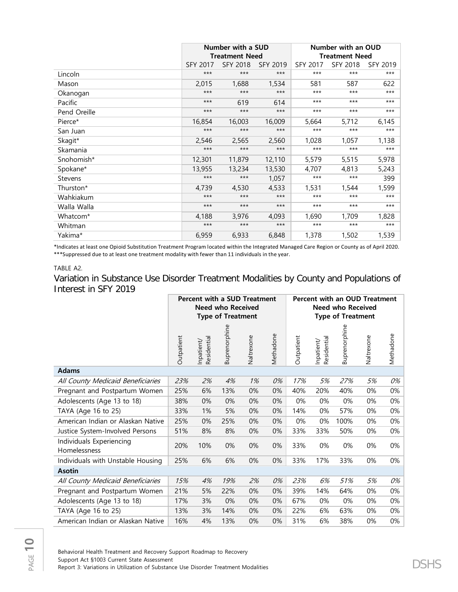|                      |                 | Number with a SUD     |                 | Number with an OUD |                       |                 |  |  |
|----------------------|-----------------|-----------------------|-----------------|--------------------|-----------------------|-----------------|--|--|
|                      |                 | <b>Treatment Need</b> |                 |                    | <b>Treatment Need</b> |                 |  |  |
|                      | <b>SFY 2017</b> | <b>SFY 2018</b>       | <b>SFY 2019</b> | <b>SFY 2017</b>    | SFY 2018              | <b>SFY 2019</b> |  |  |
| Lincoln              | $***$           | $***$                 | $***$           | $***$              | $***$                 | $***$           |  |  |
| Mason                | 2,015           | 1,688                 | 1,534           | 581                | 587                   | 622             |  |  |
| Okanogan             | $***$           | $***$                 | $***$           | $***$              | $***$                 | $***$           |  |  |
| Pacific              | $***$           | 619                   | 614             | $***$              | $***$                 | $***$           |  |  |
| Pend Oreille         | $***$           | $***$                 | $***$           | $***$              | $***$                 | $***$           |  |  |
| Pierce*              | 16,854          | 16,003                | 16,009          | 5,664              | 5,712                 | 6,145           |  |  |
| San Juan             | $***$           | $***$                 | $***$           | $***$              | $***$                 | $***$           |  |  |
| Skagit*              | 2,546           | 2,565                 | 2,560           | 1,028              | 1,057                 | 1,138           |  |  |
| Skamania             | $***$           | $***$                 | $***$           | $***$              | $***$                 | $***$           |  |  |
| Snohomish*           | 12,301          | 11,879                | 12,110          | 5,579              | 5,515                 | 5,978           |  |  |
| Spokane*             | 13,955          | 13,234                | 13,530          | 4,707              | 4,813                 | 5,243           |  |  |
| <b>Stevens</b>       | $***$           | $***$                 | 1,057           | $***$              | $***$                 | 399             |  |  |
| Thurston*            | 4,739           | 4,530                 | 4,533           | 1,531              | 1,544                 | 1,599           |  |  |
| Wahkiakum            | $***$           | $***$                 | $***$           | $***$              | $***$                 | $***$           |  |  |
| Walla Walla          | $***$           | $***$                 | $***$           | $***$              | $***$                 | $***$           |  |  |
| Whatcom <sup>*</sup> | 4,188           | 3,976                 | 4,093           | 1,690              | 1,709                 | 1,828           |  |  |
| Whitman              | $***$           | $***$                 | $***$           | $***$              | $***$                 | $***$           |  |  |
| Yakima*              | 6,959           | 6,933                 | 6,848           | 1,378              | 1,502                 | 1,539           |  |  |

\*Indicates at least one Opioid Substitution Treatment Program located within the Integrated Managed Care Region or County as of April 2020. \*\*\*Suppressed due to at least one treatment modality with fewer than 11 individuals in the year.

## TABLE A2.

Variation in Substance Use Disorder Treatment Modalities by County and Populations of Interest in SFY 2019

|                                          | <b>Percent with a SUD Treatment</b><br><b>Need who Received</b><br><b>Type of Treatment</b> |                           |               |            |           | Percent with an OUD Treatment<br><b>Need who Received</b><br><b>Type of Treatment</b> |                           |               |            |           |
|------------------------------------------|---------------------------------------------------------------------------------------------|---------------------------|---------------|------------|-----------|---------------------------------------------------------------------------------------|---------------------------|---------------|------------|-----------|
|                                          | Outpatient                                                                                  | Residential<br>Inpatient/ | Buprenorphine | Naltrexone | Methadone | Outpatient                                                                            | Residential<br>Inpatient/ | Buprenorphine | Naltrexone | Methadone |
| <b>Adams</b>                             |                                                                                             |                           |               |            |           |                                                                                       |                           |               |            |           |
| All County Medicaid Beneficiaries        | 23%                                                                                         | 2%                        | 4%            | 1%         | 0%        | 17%                                                                                   | 5%                        | 27%           | 5%         | 0%        |
| Pregnant and Postpartum Women            | 25%                                                                                         | 6%                        | 13%           | 0%         | 0%        | 40%                                                                                   | 20%                       | 40%           | 0%         | 0%        |
| Adolescents (Age 13 to 18)               | 38%                                                                                         | 0%                        | 0%            | 0%         | 0%        | 0%                                                                                    | 0%                        | 0%            | 0%         | 0%        |
| TAYA (Age 16 to 25)                      | 33%                                                                                         | 1%                        | 5%            | 0%         | 0%        | 14%                                                                                   | 0%                        | 57%           | 0%         | 0%        |
| American Indian or Alaskan Native        | 25%                                                                                         | 0%                        | 25%           | 0%         | 0%        | 0%                                                                                    | 0%                        | 100%          | 0%         | 0%        |
| Justice System-Involved Persons          | 51%                                                                                         | 8%                        | 8%            | 0%         | 0%        | 33%                                                                                   | 33%                       | 50%           | 0%         | 0%        |
| Individuals Experiencing<br>Homelessness | 20%                                                                                         | 10%                       | 0%            | 0%         | 0%        | 33%                                                                                   | 0%                        | 0%            | 0%         | 0%        |
| Individuals with Unstable Housing        | 25%                                                                                         | 6%                        | 6%            | 0%         | 0%        | 33%                                                                                   | 17%                       | 33%           | 0%         | 0%        |
| <b>Asotin</b>                            |                                                                                             |                           |               |            |           |                                                                                       |                           |               |            |           |
| All County Medicaid Beneficiaries        | 15%                                                                                         | 4%                        | 19%           | 2%         | 0%        | 23%                                                                                   | 6%                        | 51%           | 5%         | 0%        |
| Pregnant and Postpartum Women            | 21%                                                                                         | 5%                        | 22%           | $0\%$      | 0%        | 39%                                                                                   | 14%                       | 64%           | 0%         | 0%        |
| Adolescents (Age 13 to 18)               | 17%                                                                                         | 3%                        | 0%            | 0%         | 0%        | 67%                                                                                   | 0%                        | 0%            | 0%         | 0%        |
| TAYA (Age 16 to 25)                      | 13%                                                                                         | 3%                        | 14%           | 0%         | 0%        | 22%                                                                                   | 6%                        | 63%           | 0%         | 0%        |
| American Indian or Alaskan Native        | 16%                                                                                         | 4%                        | 13%           | 0%         | 0%        | 31%                                                                                   | 6%                        | 38%           | 0%         | 0%        |

Behavioral Health Treatment and Recovery Support Roadmap to Recovery Support Act §1003 Current State Assessment Support Act §1003 Current State Assessment<br>Report 3: Variations in Utilization of Substance Use Disorder Treatment Modalities  $\mathsf{DSHS}$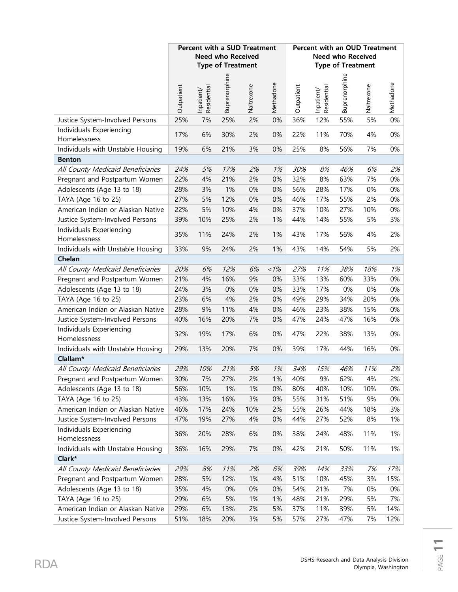|                                          |            | Percent with a SUD Treatment | <b>Need who Received</b><br><b>Type of Treatment</b> |            |           | Percent with an OUD Treatment<br><b>Need who Received</b><br><b>Type of Treatment</b> |                           |               |            |           |
|------------------------------------------|------------|------------------------------|------------------------------------------------------|------------|-----------|---------------------------------------------------------------------------------------|---------------------------|---------------|------------|-----------|
|                                          | Outpatient | Inpatient/<br>Residential    | Buprenorphine                                        | Naltrexone | Methadone | Outpatient                                                                            | Inpatient/<br>Residential | Buprenorphine | Naltrexone | Methadone |
| Justice System-Involved Persons          | 25%        | 7%                           | 25%                                                  | 2%         | 0%        | 36%                                                                                   | 12%                       | 55%           | 5%         | $0\%$     |
| Individuals Experiencing<br>Homelessness | 17%        | 6%                           | 30%                                                  | 2%         | 0%        | 22%                                                                                   | 11%                       | 70%           | 4%         | $0\%$     |
| Individuals with Unstable Housing        | 19%        | 6%                           | 21%                                                  | 3%         | 0%        | 25%                                                                                   | 8%                        | 56%           | 7%         | 0%        |
| <b>Benton</b>                            |            |                              |                                                      |            |           |                                                                                       |                           |               |            |           |
| All County Medicaid Beneficiaries        | 24%        | 5%                           | 17%                                                  | 2%         | 1%        | 30%                                                                                   | 8%                        | 46%           | 6%         | 2%        |
| Pregnant and Postpartum Women            | 22%        | 4%                           | 21%                                                  | 2%         | 0%        | 32%                                                                                   | 8%                        | 63%           | 7%         | 0%        |
| Adolescents (Age 13 to 18)               | 28%        | 3%                           | 1%                                                   | 0%         | 0%        | 56%                                                                                   | 28%                       | 17%           | 0%         | 0%        |
| TAYA (Age 16 to 25)                      | 27%        | 5%                           | 12%                                                  | 0%         | 0%        | 46%                                                                                   | 17%                       | 55%           | 2%         | 0%        |
| American Indian or Alaskan Native        | 22%        | 5%                           | 10%                                                  | 4%         | 0%        | 37%                                                                                   | 10%                       | 27%           | 10%        | 0%        |
| Justice System-Involved Persons          | 39%        | 10%                          | 25%                                                  | 2%         | 1%        | 44%                                                                                   | 14%                       | 55%           | 5%         | 3%        |
| Individuals Experiencing<br>Homelessness | 35%        | 11%                          | 24%                                                  | 2%         | 1%        | 43%                                                                                   | 17%                       | 56%           | 4%         | 2%        |
| Individuals with Unstable Housing        | 33%        | 9%                           | 24%                                                  | 2%         | 1%        | 43%                                                                                   | 14%                       | 54%           | 5%         | 2%        |
| Chelan                                   |            |                              |                                                      |            |           |                                                                                       |                           |               |            |           |
| All County Medicaid Beneficiaries        | 20%        | 6%                           | 12%                                                  | 6%         | $1\%$     | 27%                                                                                   | 11%                       | 38%           | 18%        | 1%        |
| Pregnant and Postpartum Women            | 21%        | 4%                           | 16%                                                  | 9%         | 0%        | 33%                                                                                   | 13%                       | 60%           | 33%        | 0%        |
| Adolescents (Age 13 to 18)               | 24%        | 3%                           | 0%                                                   | 0%         | 0%        | 33%                                                                                   | 17%                       | 0%            | 0%         | 0%        |
| TAYA (Age 16 to 25)                      | 23%        | 6%                           | 4%                                                   | 2%         | 0%        | 49%                                                                                   | 29%                       | 34%           | 20%        | 0%        |
| American Indian or Alaskan Native        | 28%        | 9%                           | 11%                                                  | 4%         | 0%        | 46%                                                                                   | 23%                       | 38%           | 15%        | 0%        |
| Justice System-Involved Persons          | 40%        | 16%                          | 20%                                                  | 7%         | 0%        | 47%                                                                                   | 24%                       | 47%           | 16%        | 0%        |
| Individuals Experiencing<br>Homelessness | 32%        | 19%                          | 17%                                                  | 6%         | 0%        | 47%                                                                                   | 22%                       | 38%           | 13%        | 0%        |
| Individuals with Unstable Housing        | 29%        | 13%                          | 20%                                                  | 7%         | 0%        | 39%                                                                                   | 17%                       | 44%           | 16%        | 0%        |
| Clallam*                                 |            |                              |                                                      |            |           |                                                                                       |                           |               |            |           |
| All County Medicaid Beneficiaries        | 29%        | 10%                          | 21%                                                  | 5%         | 1%        | 34%                                                                                   | 15%                       | 46%           | 11%        | 2%        |
| Pregnant and Postpartum Women            | 30%        | 7%                           | 27%                                                  | 2%         | 1%        | 40%                                                                                   | 9%                        | 62%           | 4%         | 2%        |
| Adolescents (Age 13 to 18)               | 56%        | 10%                          | 1%                                                   | 1%         | 0%        | 80%                                                                                   | 40%                       | 10%           | 10%        | 0%        |
| TAYA (Age 16 to 25)                      | 43%        | 13%                          | 16%                                                  | 3%         | 0%        | 55%                                                                                   | 31%                       | 51%           | 9%         | 0%        |
| American Indian or Alaskan Native        | 46%        | 17%                          | 24%                                                  | 10%        | 2%        | 55%                                                                                   | 26%                       | 44%           | 18%        | 3%        |
| Justice System-Involved Persons          | 47%        | 19%                          | 27%                                                  | 4%         | 0%        | 44%                                                                                   | 27%                       | 52%           | 8%         | 1%        |
| Individuals Experiencing<br>Homelessness | 36%        | 20%                          | 28%                                                  | 6%         | 0%        | 38%                                                                                   | 24%                       | 48%           | 11%        | 1%        |
| Individuals with Unstable Housing        | 36%        | 16%                          | 29%                                                  | 7%         | 0%        | 42%                                                                                   | 21%                       | 50%           | 11%        | 1%        |
| Clark*                                   |            |                              |                                                      |            |           |                                                                                       |                           |               |            |           |
| All County Medicaid Beneficiaries        | 29%        | 8%                           | 11%                                                  | 2%         | 6%        | 39%                                                                                   | 14%                       | 33%           | 7%         | 17%       |
| Pregnant and Postpartum Women            | 28%        | 5%                           | 12%                                                  | 1%         | 4%        | 51%                                                                                   | 10%                       | 45%           | 3%         | 15%       |
| Adolescents (Age 13 to 18)               | 35%        | 4%                           | 0%                                                   | 0%         | 0%        | 54%                                                                                   | 21%                       | 7%            | 0%         | 0%        |
| TAYA (Age 16 to 25)                      | 29%        | 6%                           | 5%                                                   | 1%         | 1%        | 48%                                                                                   | 21%                       | 29%           | 5%         | 7%        |
| American Indian or Alaskan Native        | 29%        | 6%                           | 13%                                                  | 2%         | 5%        | 37%                                                                                   | 11%                       | 39%           | 5%         | 14%       |
| Justice System-Involved Persons          | 51%        | 18%                          | 20%                                                  | 3%         | 5%        | 57%                                                                                   | 27%                       | 47%           | 7%         | 12%       |

Olympia, Washington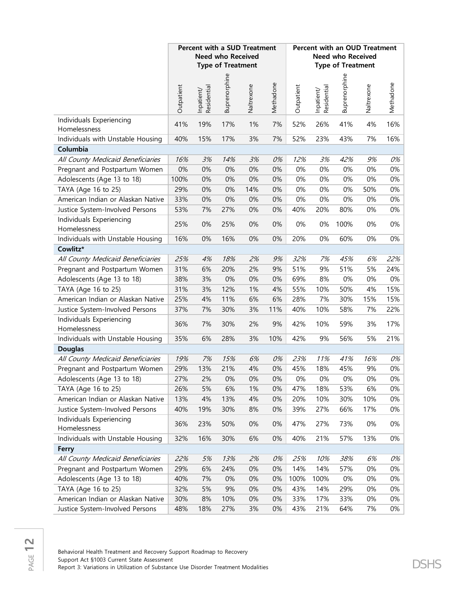|                                          |            | <b>Percent with a SUD Treatment</b> | <b>Need who Received</b><br><b>Type of Treatment</b> |            |           | Percent with an OUD Treatment<br><b>Need who Received</b><br><b>Type of Treatment</b> |                           |               |            |           |
|------------------------------------------|------------|-------------------------------------|------------------------------------------------------|------------|-----------|---------------------------------------------------------------------------------------|---------------------------|---------------|------------|-----------|
|                                          | Outpatient | Inpatient/<br>Residential           | Buprenorphine                                        | Naltrexone | Methadone | Outpatient                                                                            | Inpatient/<br>Residential | Buprenorphine | Naltrexone | Methadone |
| Individuals Experiencing<br>Homelessness | 41%        | 19%                                 | 17%                                                  | 1%         | 7%        | 52%                                                                                   | 26%                       | 41%           | 4%         | 16%       |
| Individuals with Unstable Housing        | 40%        | 15%                                 | 17%                                                  | 3%         | 7%        | 52%                                                                                   | 23%                       | 43%           | 7%         | 16%       |
| Columbia                                 |            |                                     |                                                      |            |           |                                                                                       |                           |               |            |           |
| All County Medicaid Beneficiaries        | 16%        | 3%                                  | 14%                                                  | 3%         | 0%        | 12%                                                                                   | 3%                        | 42%           | 9%         | 0%        |
| Pregnant and Postpartum Women            | 0%         | 0%                                  | 0%                                                   | 0%         | 0%        | 0%                                                                                    | 0%                        | 0%            | 0%         | 0%        |
| Adolescents (Age 13 to 18)               | 100%       | 0%                                  | 0%                                                   | 0%         | 0%        | 0%                                                                                    | 0%                        | 0%            | 0%         | $0\%$     |
| TAYA (Age 16 to 25)                      | 29%        | 0%                                  | 0%                                                   | 14%        | 0%        | 0%                                                                                    | 0%                        | 0%            | 50%        | $0\%$     |
| American Indian or Alaskan Native        | 33%        | 0%                                  | 0%                                                   | 0%         | 0%        | 0%                                                                                    | 0%                        | 0%            | 0%         | $0\%$     |
| Justice System-Involved Persons          | 53%        | 7%                                  | 27%                                                  | 0%         | 0%        | 40%                                                                                   | 20%                       | 80%           | 0%         | $0\%$     |
| Individuals Experiencing<br>Homelessness | 25%        | $0\%$                               | 25%                                                  | 0%         | 0%        | 0%                                                                                    | 0%                        | 100%          | 0%         | $0\%$     |
| Individuals with Unstable Housing        | 16%        | $0\%$                               | 16%                                                  | 0%         | $0\%$     | 20%                                                                                   | 0%                        | 60%           | 0%         | $0\%$     |
| Cowlitz*                                 |            |                                     |                                                      |            |           |                                                                                       |                           |               |            |           |
| All County Medicaid Beneficiaries        | 25%        | 4%                                  | 18%                                                  | 2%         | 9%        | 32%                                                                                   | 7%                        | 45%           | 6%         | 22%       |
| Pregnant and Postpartum Women            | 31%        | 6%                                  | 20%                                                  | 2%         | 9%        | 51%                                                                                   | 9%                        | 51%           | 5%         | 24%       |
| Adolescents (Age 13 to 18)               | 38%        | 3%                                  | 0%                                                   | 0%         | 0%        | 69%                                                                                   | 8%                        | 0%            | $0\%$      | $0\%$     |
| TAYA (Age 16 to 25)                      | 31%        | 3%                                  | 12%                                                  | 1%         | 4%        | 55%                                                                                   | 10%                       | 50%           | 4%         | 15%       |
| American Indian or Alaskan Native        | 25%        | 4%                                  | 11%                                                  | 6%         | 6%        | 28%                                                                                   | 7%                        | 30%           | 15%        | 15%       |
| Justice System-Involved Persons          | 37%        | 7%                                  | 30%                                                  | 3%         | 11%       | 40%                                                                                   | 10%                       | 58%           | 7%         | 22%       |
| Individuals Experiencing<br>Homelessness | 36%        | 7%                                  | 30%                                                  | 2%         | 9%        | 42%                                                                                   | 10%                       | 59%           | 3%         | 17%       |
| Individuals with Unstable Housing        | 35%        | 6%                                  | 28%                                                  | 3%         | 10%       | 42%                                                                                   | 9%                        | 56%           | 5%         | 21%       |
| <b>Douglas</b>                           |            |                                     |                                                      |            |           |                                                                                       |                           |               |            |           |
| All County Medicaid Beneficiaries        | 19%        | 7%                                  | 15%                                                  | 6%         | 0%        | 23%                                                                                   | 11%                       | 41%           | 16%        | 0%        |
| Pregnant and Postpartum Women            | 29%        | 13%                                 | 21%                                                  | 4%         | 0%        | 45%                                                                                   | 18%                       | 45%           | 9%         | 0%        |
| Adolescents (Age 13 to 18)               | 27%        | 2%                                  | 0%                                                   | 0%         | 0%        | 0%                                                                                    | 0%                        | 0%            | 0%         | 0%        |
| TAYA (Age 16 to 25)                      | 26%        | 5%                                  | 6%                                                   | 1%         | 0%        | 47%                                                                                   | 18%                       | 53%           | 6%         | 0%        |
| American Indian or Alaskan Native        | 13%        | 4%                                  | 13%                                                  | 4%         | $0\%$     | 20%                                                                                   | 10%                       | 30%           | 10%        | 0%        |
| Justice System-Involved Persons          | 40%        | 19%                                 | 30%                                                  | 8%         | 0%        | 39%                                                                                   | 27%                       | 66%           | 17%        | 0%        |
| Individuals Experiencing<br>Homelessness | 36%        | 23%                                 | 50%                                                  | 0%         | 0%        | 47%                                                                                   | 27%                       | 73%           | 0%         | 0%        |
| Individuals with Unstable Housing        | 32%        | 16%                                 | 30%                                                  | 6%         | 0%        | 40%                                                                                   | 21%                       | 57%           | 13%        | 0%        |
| Ferry                                    |            |                                     |                                                      |            |           |                                                                                       |                           |               |            |           |
| All County Medicaid Beneficiaries        | 22%        | 5%                                  | 13%                                                  | 2%         | 0%        | 25%                                                                                   | 10%                       | 38%           | 6%         | 0%        |
| Pregnant and Postpartum Women            | 29%        | 6%                                  | 24%                                                  | 0%         | 0%        | 14%                                                                                   | 14%                       | 57%           | 0%         | 0%        |
| Adolescents (Age 13 to 18)               | 40%        | 7%                                  | 0%                                                   | 0%         | 0%        | 100%                                                                                  | 100%                      | 0%            | 0%         | 0%        |
| TAYA (Age 16 to 25)                      | 32%        | 5%                                  | 9%                                                   | 0%         | $0\%$     | 43%                                                                                   | 14%                       | 29%           | 0%         | 0%        |
| American Indian or Alaskan Native        | 30%        | 8%                                  | 10%                                                  | 0%         | 0%        | 33%                                                                                   | 17%                       | 33%           | 0%         | 0%        |
| Justice System-Involved Persons          | 48%        | 18%                                 | 27%                                                  | 3%         | $0\%$     | 43%                                                                                   | 21%                       | 64%           | 7%         | 0%        |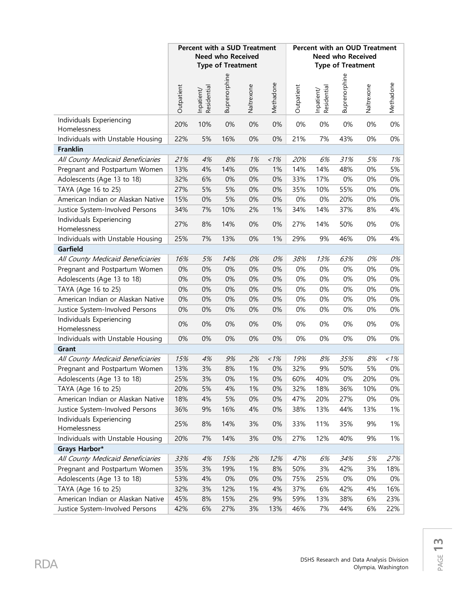|                                          | <b>Percent with a SUD Treatment</b><br><b>Need who Received</b><br><b>Type of Treatment</b> |                           |               |            |           | <b>Percent with an OUD Treatment</b><br><b>Need who Received</b><br><b>Type of Treatment</b> |                           |               |            |           |
|------------------------------------------|---------------------------------------------------------------------------------------------|---------------------------|---------------|------------|-----------|----------------------------------------------------------------------------------------------|---------------------------|---------------|------------|-----------|
|                                          | Outpatient                                                                                  | Residential<br>Inpatient/ | Buprenorphine | Naltrexone | Methadone | Outpatient                                                                                   | Residential<br>Inpatient/ | Buprenorphine | Naltrexone | Methadone |
| Individuals Experiencing<br>Homelessness | 20%                                                                                         | 10%                       | 0%            | 0%         | 0%        | $0\%$                                                                                        | 0%                        | 0%            | 0%         | $0\%$     |
| Individuals with Unstable Housing        | 22%                                                                                         | 5%                        | 16%           | 0%         | $0\%$     | 21%                                                                                          | 7%                        | 43%           | 0%         | 0%        |
| <b>Franklin</b>                          |                                                                                             |                           |               |            |           |                                                                                              |                           |               |            |           |
| All County Medicaid Beneficiaries        | 21%                                                                                         | 4%                        | 8%            | 1%         | $~1\%$    | 20%                                                                                          | 6%                        | 31%           | 5%         | 1%        |
| Pregnant and Postpartum Women            | 13%                                                                                         | 4%                        | 14%           | 0%         | 1%        | 14%                                                                                          | 14%                       | 48%           | 0%         | 5%        |
| Adolescents (Age 13 to 18)               | 32%                                                                                         | 6%                        | 0%            | 0%         | 0%        | 33%                                                                                          | 17%                       | 0%            | 0%         | 0%        |
| TAYA (Age 16 to 25)                      | 27%                                                                                         | 5%                        | 5%            | 0%         | 0%        | 35%                                                                                          | 10%                       | 55%           | 0%         | 0%        |
| American Indian or Alaskan Native        | 15%                                                                                         | 0%                        | 5%            | 0%         | 0%        | 0%                                                                                           | 0%                        | 20%           | 0%         | $0\%$     |
| Justice System-Involved Persons          | 34%                                                                                         | 7%                        | 10%           | 2%         | 1%        | 34%                                                                                          | 14%                       | 37%           | 8%         | 4%        |
| Individuals Experiencing<br>Homelessness | 27%                                                                                         | 8%                        | 14%           | 0%         | $0\%$     | 27%                                                                                          | 14%                       | 50%           | 0%         | $0\%$     |
| Individuals with Unstable Housing        | 25%                                                                                         | 7%                        | 13%           | 0%         | 1%        | 29%                                                                                          | 9%                        | 46%           | 0%         | 4%        |
| Garfield                                 |                                                                                             |                           |               |            |           |                                                                                              |                           |               |            |           |
| All County Medicaid Beneficiaries        | 16%                                                                                         | 5%                        | 14%           | 0%         | 0%        | 38%                                                                                          | 13%                       | 63%           | 0%         | 0%        |
| Pregnant and Postpartum Women            | 0%                                                                                          | 0%                        | 0%            | 0%         | 0%        | 0%                                                                                           | 0%                        | 0%            | 0%         | 0%        |
| Adolescents (Age 13 to 18)               | 0%                                                                                          | 0%                        | 0%            | 0%         | 0%        | 0%                                                                                           | 0%                        | 0%            | 0%         | 0%        |
| TAYA (Age 16 to 25)                      | 0%                                                                                          | 0%                        | 0%            | 0%         | 0%        | 0%                                                                                           | 0%                        | 0%            | 0%         | 0%        |
| American Indian or Alaskan Native        | 0%                                                                                          | 0%                        | 0%            | 0%         | 0%        | 0%                                                                                           | 0%                        | 0%            | 0%         | 0%        |
| Justice System-Involved Persons          | 0%                                                                                          | 0%                        | 0%            | 0%         | 0%        | $0\%$                                                                                        | 0%                        | 0%            | 0%         | $0\%$     |
| Individuals Experiencing<br>Homelessness | 0%                                                                                          | 0%                        | 0%            | 0%         | 0%        | $0\%$                                                                                        | 0%                        | 0%            | 0%         | 0%        |
| Individuals with Unstable Housing        | 0%                                                                                          | 0%                        | 0%            | 0%         | 0%        | 0%                                                                                           | 0%                        | 0%            | 0%         | 0%        |
| Grant                                    |                                                                                             |                           |               |            |           |                                                                                              |                           |               |            |           |
| All County Medicaid Beneficiaries        | 15%                                                                                         | 4%                        | 9%            | 2%         | $~1\%$    | 19%                                                                                          | 8%                        | 35%           | 8%         | $~1\%$    |
| Pregnant and Postpartum Women            | 13%                                                                                         | 3%                        | 8%            | 1%         | 0%        | 32%                                                                                          | 9%                        | 50%           | 5%         | 0%        |
| Adolescents (Age 13 to 18)               | 25%                                                                                         | 3%                        | $0\%$         | 1%         | 0%        | 60%                                                                                          | 40%                       | $0\%$         | 20%        | $0\%$     |
| TAYA (Age 16 to 25)                      | 20%                                                                                         | 5%                        | 4%            | 1%         | 0%        | 32%                                                                                          | 18%                       | 36%           | 10%        | 0%        |
| American Indian or Alaskan Native        | 18%                                                                                         | 4%                        | 5%            | 0%         | $0\%$     | 47%                                                                                          | 20%                       | 27%           | 0%         | $0\%$     |
| Justice System-Involved Persons          | 36%                                                                                         | 9%                        | 16%           | 4%         | 0%        | 38%                                                                                          | 13%                       | 44%           | 13%        | 1%        |
| Individuals Experiencing<br>Homelessness | 25%                                                                                         | 8%                        | 14%           | 3%         | 0%        | 33%                                                                                          | 11%                       | 35%           | 9%         | 1%        |
| Individuals with Unstable Housing        | 20%                                                                                         | 7%                        | 14%           | 3%         | 0%        | 27%                                                                                          | 12%                       | 40%           | 9%         | 1%        |
| Grays Harbor*                            |                                                                                             |                           |               |            |           |                                                                                              |                           |               |            |           |
| All County Medicaid Beneficiaries        | 33%                                                                                         | 4%                        | 15%           | 2%         | 12%       | 47%                                                                                          | 6%                        | 34%           | 5%         | 27%       |
| Pregnant and Postpartum Women            | 35%                                                                                         | 3%                        | 19%           | 1%         | 8%        | 50%                                                                                          | 3%                        | 42%           | 3%         | 18%       |
| Adolescents (Age 13 to 18)               | 53%                                                                                         | 4%                        | $0\%$         | 0%         | 0%        | 75%                                                                                          | 25%                       | $0\%$         | 0%         | 0%        |
| TAYA (Age 16 to 25)                      | 32%                                                                                         | 3%                        | 12%           | 1%         | 4%        | 37%                                                                                          | 6%                        | 42%           | 4%         | 16%       |
| American Indian or Alaskan Native        | 45%                                                                                         | 8%                        | 15%           | 2%         | 9%        | 59%                                                                                          | 13%                       | 38%           | 6%         | 23%       |
| Justice System-Involved Persons          | 42%                                                                                         | 6%                        | 27%           | 3%         | 13%       | 46%                                                                                          | 7%                        | 44%           | 6%         | 22%       |

Olympia, Washington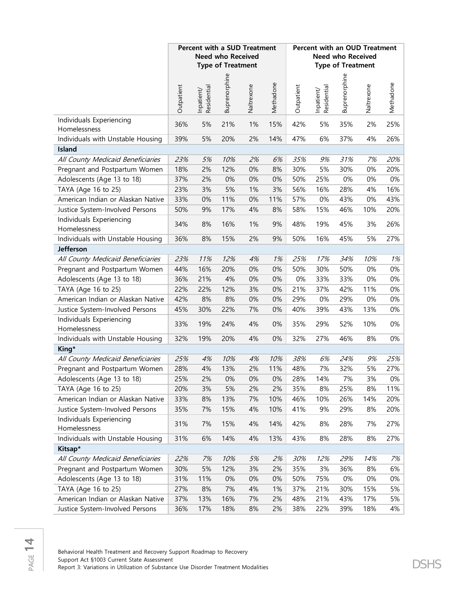|                                          |            |                           | <b>Percent with a SUD Treatment</b><br><b>Need who Received</b><br><b>Type of Treatment</b> |            |           |            | Percent with an OUD Treatment | <b>Need who Received</b><br><b>Type of Treatment</b> |            |           |
|------------------------------------------|------------|---------------------------|---------------------------------------------------------------------------------------------|------------|-----------|------------|-------------------------------|------------------------------------------------------|------------|-----------|
|                                          | Outpatient | Inpatient/<br>Residential | Buprenorphine                                                                               | Naltrexone | Methadone | Outpatient | Inpatient/<br>Residential     | Buprenorphine                                        | Naltrexone | Methadone |
| Individuals Experiencing<br>Homelessness | 36%        | 5%                        | 21%                                                                                         | 1%         | 15%       | 42%        | 5%                            | 35%                                                  | 2%         | 25%       |
| Individuals with Unstable Housing        | 39%        | 5%                        | 20%                                                                                         | 2%         | 14%       | 47%        | 6%                            | 37%                                                  | 4%         | 26%       |
| Island                                   |            |                           |                                                                                             |            |           |            |                               |                                                      |            |           |
| All County Medicaid Beneficiaries        | 23%        | 5%                        | 10%                                                                                         | 2%         | 6%        | 35%        | 9%                            | 31%                                                  | 7%         | 20%       |
| Pregnant and Postpartum Women            | 18%        | 2%                        | 12%                                                                                         | 0%         | 8%        | 30%        | 5%                            | 30%                                                  | 0%         | 20%       |
| Adolescents (Age 13 to 18)               | 37%        | 2%                        | 0%                                                                                          | 0%         | 0%        | 50%        | 25%                           | 0%                                                   | 0%         | $0\%$     |
| TAYA (Age 16 to 25)                      | 23%        | 3%                        | 5%                                                                                          | 1%         | 3%        | 56%        | 16%                           | 28%                                                  | 4%         | 16%       |
| American Indian or Alaskan Native        | 33%        | 0%                        | 11%                                                                                         | 0%         | 11%       | 57%        | 0%                            | 43%                                                  | 0%         | 43%       |
| Justice System-Involved Persons          | 50%        | 9%                        | 17%                                                                                         | 4%         | 8%        | 58%        | 15%                           | 46%                                                  | 10%        | 20%       |
| Individuals Experiencing<br>Homelessness | 34%        | 8%                        | 16%                                                                                         | 1%         | 9%        | 48%        | 19%                           | 45%                                                  | 3%         | 26%       |
| Individuals with Unstable Housing        | 36%        | 8%                        | 15%                                                                                         | 2%         | 9%        | 50%        | 16%                           | 45%                                                  | 5%         | 27%       |
| <b>Jefferson</b>                         |            |                           |                                                                                             |            |           |            |                               |                                                      |            |           |
| All County Medicaid Beneficiaries        | 23%        | 11%                       | 12%                                                                                         | 4%         | 1%        | 25%        | 17%                           | 34%                                                  | 10%        | 1%        |
| Pregnant and Postpartum Women            | 44%        | 16%                       | 20%                                                                                         | 0%         | 0%        | 50%        | 30%                           | 50%                                                  | $0\%$      | $0\%$     |
| Adolescents (Age 13 to 18)               | 36%        | 21%                       | 4%                                                                                          | 0%         | 0%        | 0%         | 33%                           | 33%                                                  | $0\%$      | $0\%$     |
| TAYA (Age 16 to 25)                      | 22%        | 22%                       | 12%                                                                                         | 3%         | 0%        | 21%        | 37%                           | 42%                                                  | 11%        | 0%        |
| American Indian or Alaskan Native        | 42%        | 8%                        | 8%                                                                                          | 0%         | 0%        | 29%        | 0%                            | 29%                                                  | $0\%$      | 0%        |
| Justice System-Involved Persons          | 45%        | 30%                       | 22%                                                                                         | 7%         | 0%        | 40%        | 39%                           | 43%                                                  | 13%        | $0\%$     |
| Individuals Experiencing<br>Homelessness | 33%        | 19%                       | 24%                                                                                         | 4%         | 0%        | 35%        | 29%                           | 52%                                                  | 10%        | $0\%$     |
| Individuals with Unstable Housing        | 32%        | 19%                       | 20%                                                                                         | 4%         | 0%        | 32%        | 27%                           | 46%                                                  | 8%         | 0%        |
| King*                                    |            |                           |                                                                                             |            |           |            |                               |                                                      |            |           |
| All County Medicaid Beneficiaries        | 25%        | 4%                        | 10%                                                                                         | 4%         | 10%       | 38%        | 6%                            | 24%                                                  | 9%         | 25%       |
| Pregnant and Postpartum Women            | 28%        | 4%                        | 13%                                                                                         | 2%         | 11%       | 48%        | 7%                            | 32%                                                  | 5%         | 27%       |
| Adolescents (Age 13 to 18)               | 25%        | 2%                        | 0%                                                                                          | 0%         | 0%        | 28%        | 14%                           | 7%                                                   | 3%         | 0%        |
| TAYA (Age 16 to 25)                      | 20%        | 3%                        | 5%                                                                                          | 2%         | 2%        | 35%        | 8%                            | 25%                                                  | 8%         | 11%       |
| American Indian or Alaskan Native        | 33%        | 8%                        | 13%                                                                                         | 7%         | 10%       | 46%        | 10%                           | 26%                                                  | 14%        | 20%       |
| Justice System-Involved Persons          | 35%        | 7%                        | 15%                                                                                         | 4%         | 10%       | 41%        | 9%                            | 29%                                                  | 8%         | 20%       |
| Individuals Experiencing<br>Homelessness | 31%        | 7%                        | 15%                                                                                         | 4%         | 14%       | 42%        | 8%                            | 28%                                                  | 7%         | 27%       |
| Individuals with Unstable Housing        | 31%        | 6%                        | 14%                                                                                         | 4%         | 13%       | 43%        | 8%                            | 28%                                                  | 8%         | 27%       |
| Kitsap*                                  |            |                           |                                                                                             |            |           |            |                               |                                                      |            |           |
| All County Medicaid Beneficiaries        | 22%        | 7%                        | 10%                                                                                         | 5%         | 2%        | 30%        | 12%                           | 29%                                                  | 14%        | 7%        |
| Pregnant and Postpartum Women            | 30%        | 5%                        | 12%                                                                                         | 3%         | 2%        | 35%        | 3%                            | 36%                                                  | 8%         | 6%        |
| Adolescents (Age 13 to 18)               | 31%        | 11%                       | 0%                                                                                          | 0%         | 0%        | 50%        | 75%                           | 0%                                                   | 0%         | 0%        |
| TAYA (Age 16 to 25)                      | 27%        | 8%                        | 7%                                                                                          | 4%         | 1%        | 37%        | 21%                           | 30%                                                  | 15%        | 5%        |
| American Indian or Alaskan Native        | 37%        | 13%                       | 16%                                                                                         | 7%         | 2%        | 48%        | 21%                           | 43%                                                  | 17%        | 5%        |
| Justice System-Involved Persons          | 36%        | 17%                       | 18%                                                                                         | 8%         | 2%        | 38%        | 22%                           | 39%                                                  | 18%        | 4%        |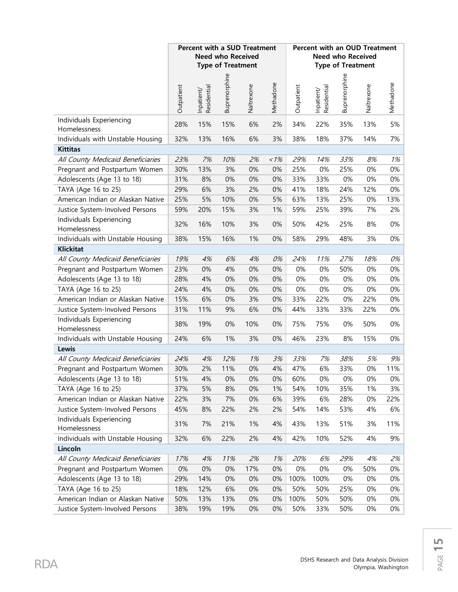|                                          |            |                           | <b>Need who Received</b><br><b>Type of Treatment</b> | <b>Percent with a SUD Treatment</b> |           |            | <b>Percent with an OUD Treatment</b> | <b>Need who Received</b><br><b>Type of Treatment</b> |            |           |
|------------------------------------------|------------|---------------------------|------------------------------------------------------|-------------------------------------|-----------|------------|--------------------------------------|------------------------------------------------------|------------|-----------|
|                                          | Outpatient | Residential<br>Inpatient/ | Buprenorphine                                        | Naltrexone                          | Methadone | Outpatient | Residential<br>Inpatient/            | Buprenorphine                                        | Naltrexone | Methadone |
| Individuals Experiencing<br>Homelessness | 28%        | 15%                       | 15%                                                  | 6%                                  | 2%        | 34%        | 22%                                  | 35%                                                  | 13%        | 5%        |
| Individuals with Unstable Housing        | 32%        | 13%                       | 16%                                                  | 6%                                  | 3%        | 38%        | 18%                                  | 37%                                                  | 14%        | 7%        |
| <b>Kittitas</b>                          |            |                           |                                                      |                                     |           |            |                                      |                                                      |            |           |
| All County Medicaid Beneficiaries        | 23%        | 7%                        | 10%                                                  | 2%                                  | 1%        | 29%        | 14%                                  | 33%                                                  | 8%         | 1%        |
| Pregnant and Postpartum Women            | 30%        | 13%                       | 3%                                                   | 0%                                  | 0%        | 25%        | 0%                                   | 25%                                                  | 0%         | 0%        |
| Adolescents (Age 13 to 18)               | 31%        | 8%                        | 0%                                                   | 0%                                  | 0%        | 33%        | 33%                                  | 0%                                                   | 0%         | 0%        |
| TAYA (Age 16 to 25)                      | 29%        | 6%                        | 3%                                                   | 2%                                  | 0%        | 41%        | 18%                                  | 24%                                                  | 12%        | $0\%$     |
| American Indian or Alaskan Native        | 25%        | 5%                        | 10%                                                  | 0%                                  | 5%        | 63%        | 13%                                  | 25%                                                  | 0%         | 13%       |
| Justice System-Involved Persons          | 59%        | 20%                       | 15%                                                  | 3%                                  | 1%        | 59%        | 25%                                  | 39%                                                  | 7%         | 2%        |
| Individuals Experiencing<br>Homelessness | 32%        | 16%                       | 10%                                                  | 3%                                  | $0\%$     | 50%        | 42%                                  | 25%                                                  | 8%         | $0\%$     |
| Individuals with Unstable Housing        | 38%        | 15%                       | 16%                                                  | 1%                                  | 0%        | 58%        | 29%                                  | 48%                                                  | 3%         | 0%        |
| <b>Klickitat</b>                         |            |                           |                                                      |                                     |           |            |                                      |                                                      |            |           |
| All County Medicaid Beneficiaries        | 19%        | 4%                        | 6%                                                   | 4%                                  | 0%        | 24%        | 11%                                  | 27%                                                  | 18%        | 0%        |
| Pregnant and Postpartum Women            | 23%        | 0%                        | 4%                                                   | 0%                                  | 0%        | 0%         | 0%                                   | 50%                                                  | 0%         | 0%        |
| Adolescents (Age 13 to 18)               | 28%        | 4%                        | 0%                                                   | 0%                                  | 0%        | 0%         | 0%                                   | 0%                                                   | 0%         | $0\%$     |
| TAYA (Age 16 to 25)                      | 24%        | 4%                        | 0%                                                   | 0%                                  | 0%        | 0%         | 0%                                   | 0%                                                   | 0%         | $0\%$     |
| American Indian or Alaskan Native        | 15%        | 6%                        | 0%                                                   | 3%                                  | 0%        | 33%        | 22%                                  | 0%                                                   | 22%        | 0%        |
| Justice System-Involved Persons          | 31%        | 11%                       | 9%                                                   | 6%                                  | 0%        | 44%        | 33%                                  | 33%                                                  | 22%        | $0\%$     |
| Individuals Experiencing<br>Homelessness | 38%        | 19%                       | 0%                                                   | 10%                                 | 0%        | 75%        | 75%                                  | 0%                                                   | 50%        | 0%        |
| Individuals with Unstable Housing        | 24%        | 6%                        | 1%                                                   | 3%                                  | 0%        | 46%        | 23%                                  | 8%                                                   | 15%        | 0%        |
| Lewis                                    |            |                           |                                                      |                                     |           |            |                                      |                                                      |            |           |
| All County Medicaid Beneficiaries        | 24%        | 4%                        | 12%                                                  | 1%                                  | 3%        | 33%        | 7%                                   | 38%                                                  | 5%         | 9%        |
| Pregnant and Postpartum Women            | 30%        | 2%                        | 11%                                                  | 0%                                  | 4%        | 47%        | 6%                                   | 33%                                                  | 0%         | 11%       |
| Adolescents (Age 13 to 18)               | 51%        | 4%                        | 0%                                                   | 0%                                  | $0\%$     | 60%        | 0%                                   | 0%                                                   | 0%         | $0\%$     |
| TAYA (Age 16 to 25)                      | 37%        | 5%                        | 8%                                                   | 0%                                  | 1%        | 54%        | 10%                                  | 35%                                                  | 1%         | 3%        |
| American Indian or Alaskan Native        | 22%        | 3%                        | 7%                                                   | 0%                                  | 6%        | 39%        | 6%                                   | 28%                                                  | $0\%$      | 22%       |
| Justice System-Involved Persons          | 45%        | 8%                        | 22%                                                  | 2%                                  | 2%        | 54%        | 14%                                  | 53%                                                  | 4%         | 6%        |
| Individuals Experiencing<br>Homelessness | 31%        | 7%                        | 21%                                                  | 1%                                  | 4%        | 43%        | 13%                                  | 51%                                                  | 3%         | 11%       |
| Individuals with Unstable Housing        | 32%        | 6%                        | 22%                                                  | 2%                                  | 4%        | 42%        | 10%                                  | 52%                                                  | 4%         | 9%        |
| Lincoln                                  |            |                           |                                                      |                                     |           |            |                                      |                                                      |            |           |
| All County Medicaid Beneficiaries        | 17%        | 4%                        | 11%                                                  | 2%                                  | 1%        | 20%        | 6%                                   | 29%                                                  | 4%         | 2%        |
| Pregnant and Postpartum Women            | 0%         | 0%                        | 0%                                                   | 17%                                 | 0%        | 0%         | 0%                                   | 0%                                                   | 50%        | $0\%$     |
| Adolescents (Age 13 to 18)               | 29%        | 14%                       | 0%                                                   | 0%                                  | 0%        | 100%       | 100%                                 | 0%                                                   | 0%         | 0%        |
| TAYA (Age 16 to 25)                      | 18%        | 12%                       | 6%                                                   | 0%                                  | $0\%$     | 50%        | 50%                                  | 25%                                                  | $0\%$      | $0\%$     |
| American Indian or Alaskan Native        | 50%        | 13%                       | 13%                                                  | 0%                                  | 0%        | 100%       | 50%                                  | 50%                                                  | 0%         | $0\%$     |
| Justice System-Involved Persons          | 38%        | 19%                       | 19%                                                  | $0\%$                               | $0\%$     | 50%        | 33%                                  | 50%                                                  | $0\%$      | 0%        |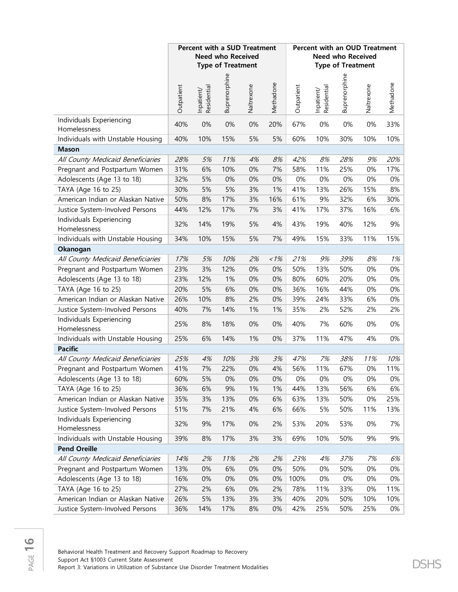|                                          |            |                           | <b>Percent with a SUD Treatment</b><br><b>Need who Received</b><br><b>Type of Treatment</b> |            |           |            | Percent with an OUD Treatment | <b>Need who Received</b><br><b>Type of Treatment</b> |            |           |
|------------------------------------------|------------|---------------------------|---------------------------------------------------------------------------------------------|------------|-----------|------------|-------------------------------|------------------------------------------------------|------------|-----------|
|                                          | Outpatient | Inpatient/<br>Residential | Buprenorphine                                                                               | Naltrexone | Methadone | Outpatient | Inpatient/<br>Residential     | Buprenorphine                                        | Naltrexone | Methadone |
| Individuals Experiencing<br>Homelessness | 40%        | 0%                        | 0%                                                                                          | 0%         | 20%       | 67%        | 0%                            | 0%                                                   | 0%         | 33%       |
| Individuals with Unstable Housing        | 40%        | 10%                       | 15%                                                                                         | 5%         | 5%        | 60%        | 10%                           | 30%                                                  | 10%        | 10%       |
| <b>Mason</b>                             |            |                           |                                                                                             |            |           |            |                               |                                                      |            |           |
| All County Medicaid Beneficiaries        | 28%        | 5%                        | 11%                                                                                         | 4%         | 8%        | 42%        | 8%                            | 28%                                                  | 9%         | 20%       |
| Pregnant and Postpartum Women            | 31%        | 6%                        | 10%                                                                                         | 0%         | 7%        | 58%        | 11%                           | 25%                                                  | 0%         | 17%       |
| Adolescents (Age 13 to 18)               | 32%        | 5%                        | 0%                                                                                          | 0%         | 0%        | 0%         | 0%                            | 0%                                                   | 0%         | $0\%$     |
| TAYA (Age 16 to 25)                      | 30%        | 5%                        | 5%                                                                                          | 3%         | 1%        | 41%        | 13%                           | 26%                                                  | 15%        | 8%        |
| American Indian or Alaskan Native        | 50%        | 8%                        | 17%                                                                                         | 3%         | 16%       | 61%        | 9%                            | 32%                                                  | 6%         | 30%       |
| Justice System-Involved Persons          | 44%        | 12%                       | 17%                                                                                         | 7%         | 3%        | 41%        | 17%                           | 37%                                                  | 16%        | 6%        |
| Individuals Experiencing<br>Homelessness | 32%        | 14%                       | 19%                                                                                         | 5%         | 4%        | 43%        | 19%                           | 40%                                                  | 12%        | 9%        |
| Individuals with Unstable Housing        | 34%        | 10%                       | 15%                                                                                         | 5%         | 7%        | 49%        | 15%                           | 33%                                                  | 11%        | 15%       |
| Okanogan                                 |            |                           |                                                                                             |            |           |            |                               |                                                      |            |           |
| All County Medicaid Beneficiaries        | 17%        | 5%                        | 10%                                                                                         | 2%         | 1%        | 21%        | 9%                            | 39%                                                  | 8%         | 1%        |
| Pregnant and Postpartum Women            | 23%        | 3%                        | 12%                                                                                         | 0%         | 0%        | 50%        | 13%                           | 50%                                                  | 0%         | $0\%$     |
| Adolescents (Age 13 to 18)               | 23%        | 12%                       | 1%                                                                                          | 0%         | $0\%$     | 80%        | 60%                           | 20%                                                  | 0%         | $0\%$     |
| TAYA (Age 16 to 25)                      | 20%        | 5%                        | 6%                                                                                          | 0%         | 0%        | 36%        | 16%                           | 44%                                                  | 0%         | $0\%$     |
| American Indian or Alaskan Native        | 26%        | 10%                       | 8%                                                                                          | 2%         | 0%        | 39%        | 24%                           | 33%                                                  | 6%         | 0%        |
| Justice System-Involved Persons          | 40%        | 7%                        | 14%                                                                                         | 1%         | 1%        | 35%        | 2%                            | 52%                                                  | 2%         | 2%        |
| Individuals Experiencing<br>Homelessness | 25%        | 8%                        | 18%                                                                                         | 0%         | 0%        | 40%        | 7%                            | 60%                                                  | 0%         | $0\%$     |
| Individuals with Unstable Housing        | 25%        | 6%                        | 14%                                                                                         | 1%         | 0%        | 37%        | 11%                           | 47%                                                  | 4%         | 0%        |
| <b>Pacific</b>                           |            |                           |                                                                                             |            |           |            |                               |                                                      |            |           |
| All County Medicaid Beneficiaries        | 25%        | 4%                        | 10%                                                                                         | 3%         | 3%        | 47%        | 7%                            | 38%                                                  | 11%        | 10%       |
| Pregnant and Postpartum Women            | 41%        | 7%                        | 22%                                                                                         | 0%         | 4%        | 56%        | 11%                           | 67%                                                  | 0%         | 11%       |
| Adolescents (Age 13 to 18)               | 60%        | 5%                        | 0%                                                                                          | 0%         | 0%        | 0%         | 0%                            | 0%                                                   | 0%         | 0%        |
| TAYA (Age 16 to 25)                      | 36%        | 6%                        | 9%                                                                                          | 1%         | 1%        | 44%        | 13%                           | 56%                                                  | 6%         | 6%        |
| American Indian or Alaskan Native        | 35%        | 3%                        | 13%                                                                                         | 0%         | 6%        | 63%        | 13%                           | 50%                                                  | $0\%$      | 25%       |
| Justice System-Involved Persons          | 51%        | 7%                        | 21%                                                                                         | 4%         | 6%        | 66%        | 5%                            | 50%                                                  | 11%        | 13%       |
| Individuals Experiencing<br>Homelessness | 32%        | 9%                        | 17%                                                                                         | 0%         | 2%        | 53%        | 20%                           | 53%                                                  | 0%         | 7%        |
| Individuals with Unstable Housing        | 39%        | 8%                        | 17%                                                                                         | 3%         | 3%        | 69%        | 10%                           | 50%                                                  | 9%         | 9%        |
| <b>Pend Oreille</b>                      |            |                           |                                                                                             |            |           |            |                               |                                                      |            |           |
| All County Medicaid Beneficiaries        | 14%        | 2%                        | 11%                                                                                         | 2%         | 2%        | 23%        | 4%                            | 37%                                                  | 7%         | 6%        |
| Pregnant and Postpartum Women            | 13%        | 0%                        | 6%                                                                                          | 0%         | 0%        | 50%        | 0%                            | 50%                                                  | 0%         | 0%        |
| Adolescents (Age 13 to 18)               | 16%        | 0%                        | 0%                                                                                          | 0%         | 0%        | 100%       | 0%                            | 0%                                                   | 0%         | $0\%$     |
| TAYA (Age 16 to 25)                      | 27%        | 2%                        | 6%                                                                                          | 0%         | 2%        | 78%        | 11%                           | 33%                                                  | 0%         | 11%       |
| American Indian or Alaskan Native        | 26%        | 5%                        | 13%                                                                                         | 3%         | 3%        | 40%        | 20%                           | 50%                                                  | 10%        | 10%       |
| Justice System-Involved Persons          | 36%        | 14%                       | 17%                                                                                         | 8%         | $0\%$     | 42%        | 25%                           | 50%                                                  | 25%        | 0%        |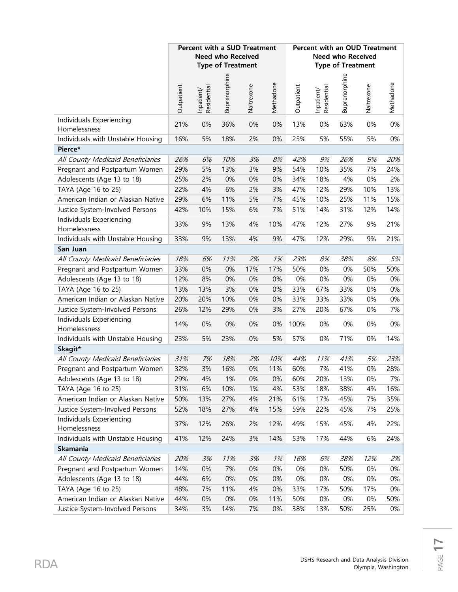|                                          |            |                           | <b>Percent with a SUD Treatment</b><br><b>Need who Received</b><br><b>Type of Treatment</b> |            |           |            | <b>Percent with an OUD Treatment</b> | <b>Need who Received</b><br><b>Type of Treatment</b> |            |           |
|------------------------------------------|------------|---------------------------|---------------------------------------------------------------------------------------------|------------|-----------|------------|--------------------------------------|------------------------------------------------------|------------|-----------|
|                                          | Outpatient | Residential<br>Inpatient/ | Buprenorphine                                                                               | Naltrexone | Methadone | Outpatient | Residential<br>Inpatient/            | Buprenorphine                                        | Naltrexone | Methadone |
| Individuals Experiencing<br>Homelessness | 21%        | 0%                        | 36%                                                                                         | 0%         | 0%        | 13%        | 0%                                   | 63%                                                  | 0%         | 0%        |
| Individuals with Unstable Housing        | 16%        | 5%                        | 18%                                                                                         | 2%         | 0%        | 25%        | 5%                                   | 55%                                                  | 5%         | 0%        |
| Pierce*                                  |            |                           |                                                                                             |            |           |            |                                      |                                                      |            |           |
| All County Medicaid Beneficiaries        | 26%        | 6%                        | 10%                                                                                         | 3%         | 8%        | 42%        | 9%                                   | 26%                                                  | 9%         | 20%       |
| Pregnant and Postpartum Women            | 29%        | 5%                        | 13%                                                                                         | 3%         | 9%        | 54%        | 10%                                  | 35%                                                  | 7%         | 24%       |
| Adolescents (Age 13 to 18)               | 25%        | 2%                        | 0%                                                                                          | 0%         | 0%        | 34%        | 18%                                  | 4%                                                   | 0%         | 2%        |
| TAYA (Age 16 to 25)                      | 22%        | 4%                        | 6%                                                                                          | 2%         | 3%        | 47%        | 12%                                  | 29%                                                  | 10%        | 13%       |
| American Indian or Alaskan Native        | 29%        | 6%                        | 11%                                                                                         | 5%         | 7%        | 45%        | 10%                                  | 25%                                                  | 11%        | 15%       |
| Justice System-Involved Persons          | 42%        | 10%                       | 15%                                                                                         | 6%         | 7%        | 51%        | 14%                                  | 31%                                                  | 12%        | 14%       |
| Individuals Experiencing<br>Homelessness | 33%        | 9%                        | 13%                                                                                         | 4%         | 10%       | 47%        | 12%                                  | 27%                                                  | 9%         | 21%       |
| Individuals with Unstable Housing        | 33%        | 9%                        | 13%                                                                                         | 4%         | 9%        | 47%        | 12%                                  | 29%                                                  | 9%         | 21%       |
| San Juan                                 |            |                           |                                                                                             |            |           |            |                                      |                                                      |            |           |
| All County Medicaid Beneficiaries        | 18%        | 6%                        | 11%                                                                                         | 2%         | 1%        | 23%        | 8%                                   | 38%                                                  | 8%         | 5%        |
| Pregnant and Postpartum Women            | 33%        | 0%                        | 0%                                                                                          | 17%        | 17%       | 50%        | 0%                                   | 0%                                                   | 50%        | 50%       |
| Adolescents (Age 13 to 18)               | 12%        | 8%                        | 0%                                                                                          | 0%         | 0%        | 0%         | 0%                                   | 0%                                                   | 0%         | 0%        |
| TAYA (Age 16 to 25)                      | 13%        | 13%                       | 3%                                                                                          | 0%         | 0%        | 33%        | 67%                                  | 33%                                                  | 0%         | 0%        |
| American Indian or Alaskan Native        | 20%        | 20%                       | 10%                                                                                         | 0%         | $0\%$     | 33%        | 33%                                  | 33%                                                  | 0%         | $0\%$     |
| Justice System-Involved Persons          | 26%        | 12%                       | 29%                                                                                         | 0%         | 3%        | 27%        | 20%                                  | 67%                                                  | 0%         | 7%        |
| Individuals Experiencing<br>Homelessness | 14%        | 0%                        | 0%                                                                                          | 0%         | 0%        | 100%       | 0%                                   | 0%                                                   | 0%         | 0%        |
| Individuals with Unstable Housing        | 23%        | 5%                        | 23%                                                                                         | 0%         | 5%        | 57%        | 0%                                   | 71%                                                  | 0%         | 14%       |
| Skagit*                                  |            |                           |                                                                                             |            |           |            |                                      |                                                      |            |           |
| All County Medicaid Beneficiaries        | 31%        | 7%                        | 18%                                                                                         | 2%         | 10%       | 44%        | 11%                                  | 41%                                                  | 5%         | 23%       |
| Pregnant and Postpartum Women            | 32%        | 3%                        | 16%                                                                                         | 0%         | 11%       | 60%        | 7%                                   | 41%                                                  | 0%         | 28%       |
| Adolescents (Age 13 to 18)               | 29%        | 4%                        | 1%                                                                                          | 0%         | 0%        | 60%        | 20%                                  | 13%                                                  | $0\%$      | 7%        |
| TAYA (Age 16 to 25)                      | 31%        | 6%                        | 10%                                                                                         | 1%         | 4%        | 53%        | 18%                                  | 38%                                                  | 4%         | 16%       |
| American Indian or Alaskan Native        | 50%        | 13%                       | 27%                                                                                         | 4%         | 21%       | 61%        | 17%                                  | 45%                                                  | 7%         | 35%       |
| Justice System-Involved Persons          | 52%        | 18%                       | 27%                                                                                         | 4%         | 15%       | 59%        | 22%                                  | 45%                                                  | 7%         | 25%       |
| Individuals Experiencing<br>Homelessness | 37%        | 12%                       | 26%                                                                                         | 2%         | 12%       | 49%        | 15%                                  | 45%                                                  | 4%         | 22%       |
| Individuals with Unstable Housing        | 41%        | 12%                       | 24%                                                                                         | 3%         | 14%       | 53%        | 17%                                  | 44%                                                  | 6%         | 24%       |
| <b>Skamania</b>                          |            |                           |                                                                                             |            |           |            |                                      |                                                      |            |           |
| All County Medicaid Beneficiaries        | 20%        | 3%                        | 11%                                                                                         | 3%         | 1%        | 16%        | 6%                                   | 38%                                                  | 12%        | 2%        |
| Pregnant and Postpartum Women            | 14%        | 0%                        | 7%                                                                                          | 0%         | 0%        | $0\%$      | 0%                                   | 50%                                                  | 0%         | $0\%$     |
| Adolescents (Age 13 to 18)               | 44%        | 6%                        | 0%                                                                                          | 0%         | $0\%$     | 0%         | 0%                                   | $0\%$                                                | 0%         | $0\%$     |
| TAYA (Age 16 to 25)                      | 48%        | 7%                        | 11%                                                                                         | 4%         | $0\%$     | 33%        | 17%                                  | 50%                                                  | 17%        | $0\%$     |
| American Indian or Alaskan Native        | 44%        | 0%                        | 0%                                                                                          | 0%         | 11%       | 50%        | 0%                                   | 0%                                                   | 0%         | 50%       |
| Justice System-Involved Persons          | 34%        | 3%                        | 14%                                                                                         | 7%         | $0\%$     | 38%        | 13%                                  | 50%                                                  | 25%        | 0%        |

Olympia, Washington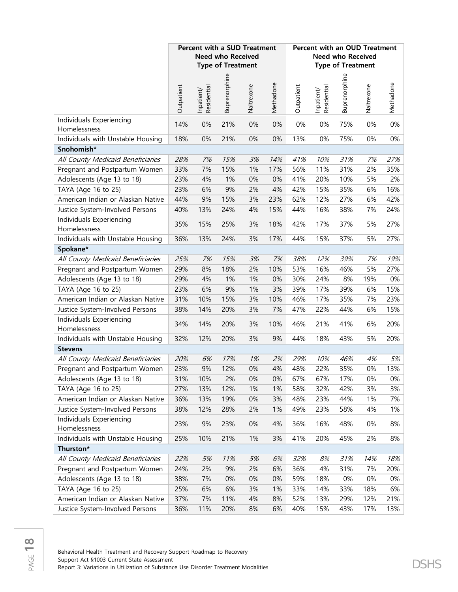|                                          |            |                           | <b>Percent with a SUD Treatment</b><br><b>Need who Received</b><br><b>Type of Treatment</b> |            |           |            | <b>Percent with an OUD Treatment</b> | <b>Need who Received</b><br><b>Type of Treatment</b> |            |           |
|------------------------------------------|------------|---------------------------|---------------------------------------------------------------------------------------------|------------|-----------|------------|--------------------------------------|------------------------------------------------------|------------|-----------|
|                                          | Outpatient | Residential<br>Inpatient/ | Buprenorphine                                                                               | Naltrexone | Methadone | Outpatient | Inpatient/<br>Residential            | Buprenorphine                                        | Naltrexone | Methadone |
| Individuals Experiencing<br>Homelessness | 14%        | 0%                        | 21%                                                                                         | 0%         | 0%        | $0\%$      | 0%                                   | 75%                                                  | 0%         | 0%        |
| Individuals with Unstable Housing        | 18%        | 0%                        | 21%                                                                                         | 0%         | $0\%$     | 13%        | 0%                                   | 75%                                                  | 0%         | $0\%$     |
| Snohomish*                               |            |                           |                                                                                             |            |           |            |                                      |                                                      |            |           |
| All County Medicaid Beneficiaries        | 28%        | 7%                        | 15%                                                                                         | 3%         | 14%       | 41%        | 10%                                  | 31%                                                  | 7%         | 27%       |
| Pregnant and Postpartum Women            | 33%        | 7%                        | 15%                                                                                         | 1%         | 17%       | 56%        | 11%                                  | 31%                                                  | 2%         | 35%       |
| Adolescents (Age 13 to 18)               | 23%        | 4%                        | 1%                                                                                          | 0%         | $0\%$     | 41%        | 20%                                  | 10%                                                  | 5%         | 2%        |
| TAYA (Age 16 to 25)                      | 23%        | 6%                        | 9%                                                                                          | 2%         | 4%        | 42%        | 15%                                  | 35%                                                  | 6%         | 16%       |
| American Indian or Alaskan Native        | 44%        | 9%                        | 15%                                                                                         | 3%         | 23%       | 62%        | 12%                                  | 27%                                                  | 6%         | 42%       |
| Justice System-Involved Persons          | 40%        | 13%                       | 24%                                                                                         | 4%         | 15%       | 44%        | 16%                                  | 38%                                                  | 7%         | 24%       |
| Individuals Experiencing<br>Homelessness | 35%        | 15%                       | 25%                                                                                         | 3%         | 18%       | 42%        | 17%                                  | 37%                                                  | 5%         | 27%       |
| Individuals with Unstable Housing        | 36%        | 13%                       | 24%                                                                                         | 3%         | 17%       | 44%        | 15%                                  | 37%                                                  | 5%         | 27%       |
| Spokane*                                 |            |                           |                                                                                             |            |           |            |                                      |                                                      |            |           |
| All County Medicaid Beneficiaries        | 25%        | 7%                        | 15%                                                                                         | 3%         | 7%        | 38%        | 12%                                  | 39%                                                  | 7%         | 19%       |
| Pregnant and Postpartum Women            | 29%        | 8%                        | 18%                                                                                         | 2%         | 10%       | 53%        | 16%                                  | 46%                                                  | 5%         | 27%       |
| Adolescents (Age 13 to 18)               | 29%        | 4%                        | 1%                                                                                          | 1%         | 0%        | 30%        | 24%                                  | 8%                                                   | 19%        | $0\%$     |
| TAYA (Age 16 to 25)                      | 23%        | 6%                        | 9%                                                                                          | 1%         | 3%        | 39%        | 17%                                  | 39%                                                  | 6%         | 15%       |
| American Indian or Alaskan Native        | 31%        | 10%                       | 15%                                                                                         | 3%         | 10%       | 46%        | 17%                                  | 35%                                                  | 7%         | 23%       |
| Justice System-Involved Persons          | 38%        | 14%                       | 20%                                                                                         | 3%         | 7%        | 47%        | 22%                                  | 44%                                                  | 6%         | 15%       |
| Individuals Experiencing<br>Homelessness | 34%        | 14%                       | 20%                                                                                         | 3%         | 10%       | 46%        | 21%                                  | 41%                                                  | 6%         | 20%       |
| Individuals with Unstable Housing        | 32%        | 12%                       | 20%                                                                                         | 3%         | 9%        | 44%        | 18%                                  | 43%                                                  | 5%         | 20%       |
| <b>Stevens</b>                           |            |                           |                                                                                             |            |           |            |                                      |                                                      |            |           |
| All County Medicaid Beneficiaries        | 20%        | 6%                        | 17%                                                                                         | 1%         | 2%        | 29%        | 10%                                  | 46%                                                  | 4%         | 5%        |
| Pregnant and Postpartum Women            | 23%        | 9%                        | 12%                                                                                         | 0%         | 4%        | 48%        | 22%                                  | 35%                                                  | 0%         | 13%       |
| Adolescents (Age 13 to 18)               | 31%        | 10%                       | 2%                                                                                          | 0%         | 0%        | 67%        | 67%                                  | 17%                                                  | 0%         | 0%        |
| TAYA (Age 16 to 25)                      | 27%        | 13%                       | 12%                                                                                         | 1%         | 1%        | 58%        | 32%                                  | 42%                                                  | 3%         | 3%        |
| American Indian or Alaskan Native        | 36%        | 13%                       | 19%                                                                                         | 0%         | 3%        | 48%        | 23%                                  | 44%                                                  | 1%         | 7%        |
| Justice System-Involved Persons          | 38%        | 12%                       | 28%                                                                                         | 2%         | 1%        | 49%        | 23%                                  | 58%                                                  | 4%         | 1%        |
| Individuals Experiencing<br>Homelessness | 23%        | 9%                        | 23%                                                                                         | 0%         | 4%        | 36%        | 16%                                  | 48%                                                  | 0%         | 8%        |
| Individuals with Unstable Housing        | 25%        | 10%                       | 21%                                                                                         | 1%         | 3%        | 41%        | 20%                                  | 45%                                                  | 2%         | 8%        |
| Thurston*                                |            |                           |                                                                                             |            |           |            |                                      |                                                      |            |           |
| All County Medicaid Beneficiaries        | 22%        | 5%                        | 11%                                                                                         | 5%         | 6%        | 32%        | 8%                                   | 31%                                                  | 14%        | 18%       |
| Pregnant and Postpartum Women            | 24%        | 2%                        | 9%                                                                                          | 2%         | 6%        | 36%        | 4%                                   | 31%                                                  | 7%         | 20%       |
| Adolescents (Age 13 to 18)               | 38%        | 7%                        | 0%                                                                                          | 0%         | 0%        | 59%        | 18%                                  | 0%                                                   | 0%         | 0%        |
| TAYA (Age 16 to 25)                      | 25%        | 6%                        | 6%                                                                                          | 3%         | 1%        | 33%        | 14%                                  | 33%                                                  | 18%        | 6%        |
| American Indian or Alaskan Native        | 37%        | 7%                        | 11%                                                                                         | 4%         | 8%        | 52%        | 13%                                  | 29%                                                  | 12%        | 21%       |
| Justice System-Involved Persons          | 36%        | 11%                       | 20%                                                                                         | $8%$       | $6\%$     | 40%        | 15%                                  | 43%                                                  | 17%        | 13%       |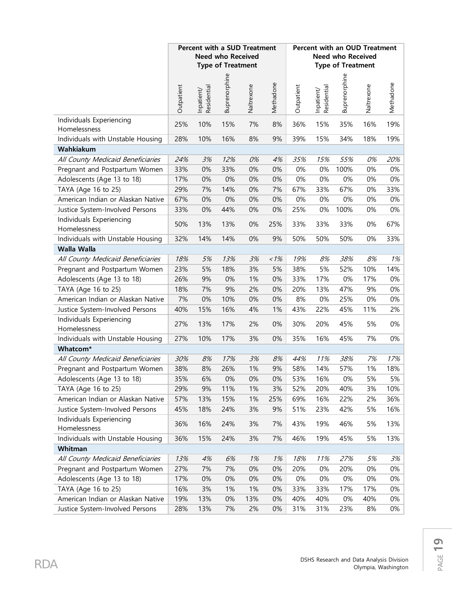|                                          |            | <b>Percent with a SUD Treatment</b> | <b>Need who Received</b><br><b>Type of Treatment</b> |            |           |            |                           | <b>Percent with an OUD Treatment</b><br><b>Need who Received</b><br><b>Type of Treatment</b> |            |           |
|------------------------------------------|------------|-------------------------------------|------------------------------------------------------|------------|-----------|------------|---------------------------|----------------------------------------------------------------------------------------------|------------|-----------|
|                                          | Outpatient | Inpatient/<br>Residential           | Buprenorphine                                        | Naltrexone | Methadone | Outpatient | Residential<br>Inpatient/ | Buprenorphine                                                                                | Naltrexone | Methadone |
| Individuals Experiencing<br>Homelessness | 25%        | 10%                                 | 15%                                                  | 7%         | 8%        | 36%        | 15%                       | 35%                                                                                          | 16%        | 19%       |
| Individuals with Unstable Housing        | 28%        | 10%                                 | 16%                                                  | 8%         | 9%        | 39%        | 15%                       | 34%                                                                                          | 18%        | 19%       |
| Wahkiakum                                |            |                                     |                                                      |            |           |            |                           |                                                                                              |            |           |
| All County Medicaid Beneficiaries        | 24%        | 3%                                  | 12%                                                  | 0%         | 4%        | 35%        | 15%                       | 55%                                                                                          | 0%         | 20%       |
| Pregnant and Postpartum Women            | 33%        | 0%                                  | 33%                                                  | 0%         | 0%        | 0%         | 0%                        | 100%                                                                                         | 0%         | 0%        |
| Adolescents (Age 13 to 18)               | 17%        | 0%                                  | 0%                                                   | 0%         | 0%        | 0%         | 0%                        | 0%                                                                                           | 0%         | $0\%$     |
| TAYA (Age 16 to 25)                      | 29%        | 7%                                  | 14%                                                  | 0%         | 7%        | 67%        | 33%                       | 67%                                                                                          | 0%         | 33%       |
| American Indian or Alaskan Native        | 67%        | 0%                                  | 0%                                                   | 0%         | 0%        | 0%         | 0%                        | 0%                                                                                           | 0%         | 0%        |
| Justice System-Involved Persons          | 33%        | 0%                                  | 44%                                                  | 0%         | 0%        | 25%        | 0%                        | 100%                                                                                         | 0%         | $0\%$     |
| Individuals Experiencing<br>Homelessness | 50%        | 13%                                 | 13%                                                  | 0%         | 25%       | 33%        | 33%                       | 33%                                                                                          | $0\%$      | 67%       |
| Individuals with Unstable Housing        | 32%        | 14%                                 | 14%                                                  | 0%         | 9%        | 50%        | 50%                       | 50%                                                                                          | $0\%$      | 33%       |
| Walla Walla                              |            |                                     |                                                      |            |           |            |                           |                                                                                              |            |           |
| All County Medicaid Beneficiaries        | 18%        | 5%                                  | 13%                                                  | 3%         | $1\%$     | 19%        | 8%                        | 38%                                                                                          | 8%         | 1%        |
| Pregnant and Postpartum Women            | 23%        | 5%                                  | 18%                                                  | 3%         | 5%        | 38%        | 5%                        | 52%                                                                                          | 10%        | 14%       |
| Adolescents (Age 13 to 18)               | 26%        | 9%                                  | 0%                                                   | 1%         | 0%        | 33%        | 17%                       | 0%                                                                                           | 17%        | 0%        |
| TAYA (Age 16 to 25)                      | 18%        | 7%                                  | 9%                                                   | 2%         | 0%        | 20%        | 13%                       | 47%                                                                                          | 9%         | $0\%$     |
| American Indian or Alaskan Native        | 7%         | 0%                                  | 10%                                                  | 0%         | 0%        | 8%         | 0%                        | 25%                                                                                          | $0\%$      | 0%        |
| Justice System-Involved Persons          | 40%        | 15%                                 | 16%                                                  | 4%         | 1%        | 43%        | 22%                       | 45%                                                                                          | 11%        | 2%        |
| Individuals Experiencing<br>Homelessness | 27%        | 13%                                 | 17%                                                  | 2%         | 0%        | 30%        | 20%                       | 45%                                                                                          | 5%         | $0\%$     |
| Individuals with Unstable Housing        | 27%        | 10%                                 | 17%                                                  | 3%         | 0%        | 35%        | 16%                       | 45%                                                                                          | 7%         | 0%        |
| Whatcom*                                 |            |                                     |                                                      |            |           |            |                           |                                                                                              |            |           |
| All County Medicaid Beneficiaries        | 30%        | 8%                                  | 17%                                                  | 3%         | 8%        | 44%        | 11%                       | 38%                                                                                          | 7%         | 17%       |
| Pregnant and Postpartum Women            | 38%        | 8%                                  | 26%                                                  | 1%         | 9%        | 58%        | 14%                       | 57%                                                                                          | 1%         | 18%       |
| Adolescents (Age 13 to 18)               | 35%        | 6%                                  | $0\%$                                                | 0%         | $0\%$     | 53%        | 16%                       | $0\%$                                                                                        | 5%         | 5%        |
| TAYA (Age 16 to 25)                      | 29%        | 9%                                  | 11%                                                  | 1%         | 3%        | 52%        | 20%                       | 40%                                                                                          | 3%         | 10%       |
| American Indian or Alaskan Native        | 57%        | 13%                                 | 15%                                                  | 1%         | 25%       | 69%        | 16%                       | 22%                                                                                          | 2%         | 36%       |
| Justice System-Involved Persons          | 45%        | 18%                                 | 24%                                                  | 3%         | 9%        | 51%        | 23%                       | 42%                                                                                          | 5%         | 16%       |
| Individuals Experiencing<br>Homelessness | 36%        | 16%                                 | 24%                                                  | 3%         | 7%        | 43%        | 19%                       | 46%                                                                                          | 5%         | 13%       |
| Individuals with Unstable Housing        | 36%        | 15%                                 | 24%                                                  | 3%         | 7%        | 46%        | 19%                       | 45%                                                                                          | 5%         | 13%       |
| Whitman                                  |            |                                     |                                                      |            |           |            |                           |                                                                                              |            |           |
| All County Medicaid Beneficiaries        | 13%        | 4%                                  | 6%                                                   | 1%         | 1%        | 18%        | 11%                       | 27%                                                                                          | 5%         | 3%        |
| Pregnant and Postpartum Women            | 27%        | 7%                                  | 7%                                                   | 0%         | 0%        | 20%        | 0%                        | 20%                                                                                          | $0\%$      | 0%        |
| Adolescents (Age 13 to 18)               | 17%        | 0%                                  | 0%                                                   | 0%         | 0%        | 0%         | 0%                        | 0%                                                                                           | $0\%$      | 0%        |
| TAYA (Age 16 to 25)                      | 16%        | 3%                                  | 1%                                                   | 1%         | 0%        | 33%        | 33%                       | 17%                                                                                          | 17%        | 0%        |
| American Indian or Alaskan Native        | 19%        | 13%                                 | 0%                                                   | 13%        | 0%        | 40%        | 40%                       | 0%                                                                                           | 40%        | 0%        |
| Justice System-Involved Persons          | 28%        | 13%                                 | 7%                                                   | 2%         | $0\%$     | 31%        | 31%                       | 23%                                                                                          | 8%         | 0%        |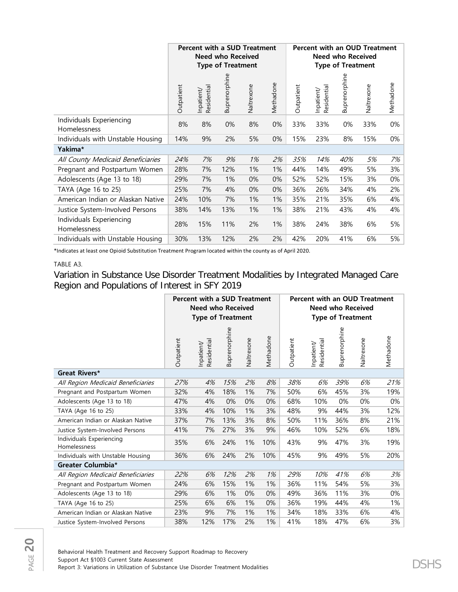|                                          | <b>Percent with a SUD Treatment</b><br><b>Need who Received</b><br><b>Type of Treatment</b> |                         |               |            |           |            |                           | Need who Received<br><b>Type of Treatment</b> | Percent with an OUD Treatment |           |
|------------------------------------------|---------------------------------------------------------------------------------------------|-------------------------|---------------|------------|-----------|------------|---------------------------|-----------------------------------------------|-------------------------------|-----------|
|                                          | Outpatient                                                                                  | Residential<br>npatient | Buprenorphine | Naltrexone | Methadone | Outpatient | Residential<br>Inpatient/ | Buprenorphine                                 | Naltrexone                    | Methadone |
| Individuals Experiencing<br>Homelessness | 8%                                                                                          | 8%                      | 0%            | 8%         | 0%        | 33%        | 33%                       | 0%                                            | 33%                           | 0%        |
| Individuals with Unstable Housing        | 14%                                                                                         | 9%                      | 2%            | 5%         | 0%        | 15%        | 23%                       | 8%                                            | 15%                           | 0%        |
| Yakima*                                  |                                                                                             |                         |               |            |           |            |                           |                                               |                               |           |
| All County Medicaid Beneficiaries        | 24%                                                                                         | 7%                      | 9%            | 1%         | 2%        | 35%        | 14%                       | 40%                                           | 5%                            | 7%        |
| Pregnant and Postpartum Women            | 28%                                                                                         | 7%                      | 12%           | 1%         | 1%        | 44%        | 14%                       | 49%                                           | 5%                            | 3%        |
| Adolescents (Age 13 to 18)               | 29%                                                                                         | 7%                      | 1%            | 0%         | 0%        | 52%        | 52%                       | 15%                                           | 3%                            | 0%        |
| TAYA (Age 16 to 25)                      | 25%                                                                                         | 7%                      | 4%            | 0%         | 0%        | 36%        | 26%                       | 34%                                           | 4%                            | 2%        |
| American Indian or Alaskan Native        | 24%                                                                                         | 10%                     | 7%            | 1%         | 1%        | 35%        | 21%                       | 35%                                           | 6%                            | 4%        |
| Justice System-Involved Persons          | 38%                                                                                         | 14%                     | 13%           | 1%         | 1%        | 38%        | 21%                       | 43%                                           | 4%                            | 4%        |
| Individuals Experiencing<br>Homelessness | 28%                                                                                         | 15%                     | 11%           | 2%         | 1%        | 38%        | 24%                       | 38%                                           | 6%                            | 5%        |
| Individuals with Unstable Housing        | 30%                                                                                         | 13%                     | 12%           | 2%         | 2%        | 42%        | 20%                       | 41%                                           | 6%                            | 5%        |

\*Indicates at least one Opioid Substitution Treatment Program located within the county as of April 2020.

### TABLE A3.

Variation in Substance Use Disorder Treatment Modalities by Integrated Managed Care Region and Populations of Interest in SFY 2019

|                                          | <b>Percent with a SUD Treatment</b><br><b>Need who Received</b><br><b>Type of Treatment</b> |                           |               | <b>Percent with an OUD Treatment</b> | <b>Need who Received</b><br><b>Type of Treatment</b> |            |                           |               |            |           |
|------------------------------------------|---------------------------------------------------------------------------------------------|---------------------------|---------------|--------------------------------------|------------------------------------------------------|------------|---------------------------|---------------|------------|-----------|
|                                          | Outpatient                                                                                  | Residential<br>Inpatient/ | Buprenorphine | Naltrexone                           | Methadone                                            | Outpatient | Residential<br>Inpatient/ | Buprenorphine | Naltrexone | Methadone |
| <b>Great Rivers*</b>                     |                                                                                             |                           |               |                                      |                                                      |            |                           |               |            |           |
| All Region Medicaid Beneficiaries        | 27%                                                                                         | 4%                        | 15%           | 2%                                   | 8%                                                   | 38%        | 6%                        | 39%           | 6%         | 21%       |
| Pregnant and Postpartum Women            | 32%                                                                                         | 4%                        | 18%           | 1%                                   | 7%                                                   | 50%        | 6%                        | 45%           | 3%         | 19%       |
| Adolescents (Age 13 to 18)               | 47%                                                                                         | 4%                        | 0%            | 0%                                   | 0%                                                   | 68%        | 10%                       | 0%            | 0%         | 0%        |
| TAYA (Age 16 to 25)                      | 33%                                                                                         | 4%                        | 10%           | 1%                                   | 3%                                                   | 48%        | 9%                        | 44%           | 3%         | 12%       |
| American Indian or Alaskan Native        | 37%                                                                                         | 7%                        | 13%           | 3%                                   | 8%                                                   | 50%        | 11%                       | 36%           | 8%         | 21%       |
| Justice System-Involved Persons          | 41%                                                                                         | 7%                        | 27%           | 3%                                   | 9%                                                   | 46%        | 10%                       | 52%           | 6%         | 18%       |
| Individuals Experiencing<br>Homelessness | 35%                                                                                         | 6%                        | 24%           | 1%                                   | 10%                                                  | 43%        | 9%                        | 47%           | 3%         | 19%       |
| Individuals with Unstable Housing        | 36%                                                                                         | 6%                        | 24%           | 2%                                   | 10%                                                  | 45%        | 9%                        | 49%           | 5%         | 20%       |
| Greater Columbia*                        |                                                                                             |                           |               |                                      |                                                      |            |                           |               |            |           |
| All Region Medicaid Beneficiaries        | 22%                                                                                         | 6%                        | 12%           | 2%                                   | 1%                                                   | 29%        | 10%                       | 41%           | 6%         | 3%        |
| Pregnant and Postpartum Women            | 24%                                                                                         | 6%                        | 15%           | 1%                                   | 1%                                                   | 36%        | 11%                       | 54%           | 5%         | 3%        |
| Adolescents (Age 13 to 18)               | 29%                                                                                         | 6%                        | 1%            | 0%                                   | 0%                                                   | 49%        | 36%                       | 11%           | 3%         | 0%        |
| TAYA (Age 16 to 25)                      | 25%                                                                                         | 6%                        | 6%            | 1%                                   | 0%                                                   | 36%        | 19%                       | 44%           | 4%         | 1%        |
| American Indian or Alaskan Native        | 23%                                                                                         | 9%                        | 7%            | 1%                                   | 1%                                                   | 34%        | 18%                       | 33%           | 6%         | 4%        |
| Justice System-Involved Persons          | 38%                                                                                         | 12%                       | 17%           | 2%                                   | 1%                                                   | 41%        | 18%                       | 47%           | 6%         | 3%        |

Behavioral Health Treatment and Recovery Support Roadmap to Recovery Support Act §1003 Current State Assessment Support Act §1003 Current State Assessment<br>Report 3: Variations in Utilization of Substance Use Disorder Treatment Modalities  $\mathsf{DSHS}$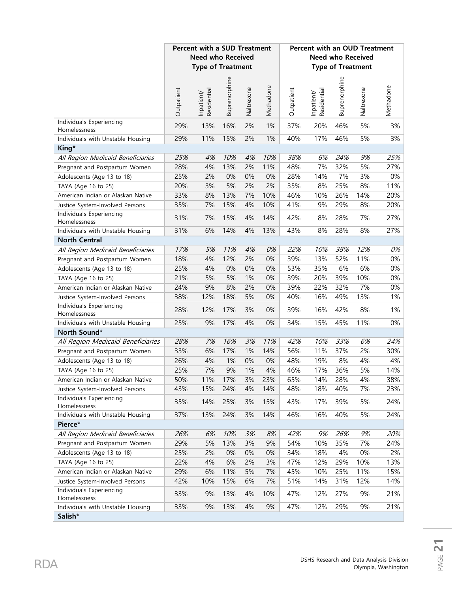|                                              | <b>Percent with a SUD Treatment</b> |                           |               |            |           |                          | Percent with an OUD Treatment |                          |            | Methadone<br>3%<br>3%<br>25%<br>27%<br>0%<br>11%<br>20%<br>20%<br>27%<br>27%<br>0%<br>0%<br>0%<br>0%<br>0%<br>1%<br>1%<br>0% |  |  |
|----------------------------------------------|-------------------------------------|---------------------------|---------------|------------|-----------|--------------------------|-------------------------------|--------------------------|------------|------------------------------------------------------------------------------------------------------------------------------|--|--|
|                                              |                                     | <b>Need who Received</b>  |               |            |           | <b>Need who Received</b> |                               |                          |            |                                                                                                                              |  |  |
|                                              |                                     | <b>Type of Treatment</b>  |               |            |           |                          |                               | <b>Type of Treatment</b> |            |                                                                                                                              |  |  |
|                                              |                                     |                           |               |            |           |                          |                               |                          |            |                                                                                                                              |  |  |
|                                              |                                     |                           | Buprenorphine |            |           |                          |                               | Buprenorphine            |            |                                                                                                                              |  |  |
|                                              | Outpatient                          | Residential<br>Inpatient/ |               | Naltrexone | Methadone | Outpatient               | Residential<br>Inpatient/     |                          | Naltrexone |                                                                                                                              |  |  |
| Individuals Experiencing                     |                                     |                           |               |            |           |                          |                               |                          |            |                                                                                                                              |  |  |
| Homelessness                                 | 29%                                 | 13%                       | 16%           | 2%         | 1%        | 37%                      | 20%                           | 46%                      | 5%         |                                                                                                                              |  |  |
| Individuals with Unstable Housing            | 29%                                 | 11%                       | 15%           | 2%         | 1%        | 40%                      | 17%                           | 46%                      | 5%         |                                                                                                                              |  |  |
| King*                                        |                                     |                           |               |            |           |                          |                               |                          |            |                                                                                                                              |  |  |
| All Region Medicaid Beneficiaries            | 25%                                 | 4%                        | 10%           | 4%         | 10%       | 38%                      | 6%                            | 24%                      | 9%         |                                                                                                                              |  |  |
| Pregnant and Postpartum Women                | 28%                                 | 4%                        | 13%           | 2%         | 11%       | 48%                      | 7%                            | 32%                      | 5%         |                                                                                                                              |  |  |
| Adolescents (Age 13 to 18)                   | 25%                                 | 2%                        | 0%            | 0%         | 0%        | 28%                      | 14%                           | 7%                       | 3%         |                                                                                                                              |  |  |
| TAYA (Age 16 to 25)                          | 20%                                 | 3%                        | 5%            | 2%         | 2%        | 35%                      | 8%                            | 25%                      | 8%         |                                                                                                                              |  |  |
| American Indian or Alaskan Native            | 33%                                 | 8%                        | 13%           | 7%         | 10%       | 46%                      | 10%                           | 26%                      | 14%        |                                                                                                                              |  |  |
| Justice System-Involved Persons              | 35%                                 | 7%                        | 15%           | 4%         | 10%       | 41%                      | 9%                            | 29%                      | 8%         |                                                                                                                              |  |  |
| Individuals Experiencing<br>Homelessness     | 31%                                 | 7%                        | 15%           | 4%         | 14%       | 42%                      | 8%                            | 28%                      | 7%         |                                                                                                                              |  |  |
| Individuals with Unstable Housing            | 31%                                 | 6%                        | 14%           | 4%         | 13%       | 43%                      | 8%                            | 28%                      | 8%         |                                                                                                                              |  |  |
| <b>North Central</b>                         |                                     |                           |               |            |           |                          |                               |                          |            |                                                                                                                              |  |  |
| All Region Medicaid Beneficiaries            | 17%                                 | 5%                        | 11%           | 4%         | 0%        | 22%                      | 10%                           | 38%                      | 12%        |                                                                                                                              |  |  |
| Pregnant and Postpartum Women                | 18%                                 | 4%                        | 12%           | 2%         | 0%        | 39%                      | 13%                           | 52%                      | 11%        |                                                                                                                              |  |  |
| Adolescents (Age 13 to 18)                   | 25%                                 | 4%                        | 0%            | 0%         | 0%        | 53%                      | 35%                           | 6%                       | 6%         |                                                                                                                              |  |  |
| TAYA (Age 16 to 25)                          | 21%                                 | 5%                        | 5%            | 1%         | 0%        | 39%                      | 20%                           | 39%                      | 10%        |                                                                                                                              |  |  |
| American Indian or Alaskan Native            | 24%                                 | 9%                        | 8%            | 2%         | 0%        | 39%                      | 22%                           | 32%                      | 7%         |                                                                                                                              |  |  |
| Justice System-Involved Persons              | 38%                                 | 12%                       | 18%           | 5%         | 0%        | 40%                      | 16%                           | 49%                      | 13%        |                                                                                                                              |  |  |
| Individuals Experiencing<br>Homelessness     | 28%                                 | 12%                       | 17%           | 3%         | 0%        | 39%                      | 16%                           | 42%                      | 8%         |                                                                                                                              |  |  |
| Individuals with Unstable Housing            | 25%                                 | 9%                        | 17%           | 4%         | 0%        | 34%                      | 15%                           | 45%                      | 11%        |                                                                                                                              |  |  |
| North Sound*                                 |                                     |                           |               |            |           |                          |                               |                          |            |                                                                                                                              |  |  |
| All Region Medicaid Beneficiaries            | 28%                                 | 7%                        | 16%           | 3%         | 11%       | 42%                      | 10%                           | 33%                      | 6%         | 24%                                                                                                                          |  |  |
| Pregnant and Postpartum Women                | 33%                                 | 6%                        | 17%           | 1%         | 14%       | 56%                      | 11%                           | 37%                      | 2%         | 30%                                                                                                                          |  |  |
| Adolescents (Age 13 to 18)                   | 26%                                 | 4%                        | 1%            | 0%         | $0\%$     | 48%                      | 19%                           | 8%                       | 4%         | 4%                                                                                                                           |  |  |
| TAYA (Age 16 to 25)                          | 25%                                 | 7%                        | 9%            | 1%         | 4%        | 46%                      | 17%                           | 36%                      | 5%         | 14%                                                                                                                          |  |  |
| American Indian or Alaskan Native            | 50%                                 | 11%                       | 17%           | 3%         | 23%       | 65%                      | 14%                           | 28%                      | 4%         | 38%                                                                                                                          |  |  |
| Justice System-Involved Persons              | 43%                                 | 15%                       | 24%           | 4%         | 14%       | 48%                      | 18%                           | 40%                      | 7%         | 23%                                                                                                                          |  |  |
| Individuals Experiencing<br>Homelessness     | 35%                                 | 14%                       | 25%           | 3%         | 15%       | 43%                      | 17%                           | 39%                      | 5%         | 24%                                                                                                                          |  |  |
| Individuals with Unstable Housing            | 37%                                 | 13%                       | 24%           | 3%         | 14%       | 46%                      | 16%                           | 40%                      | 5%         | 24%                                                                                                                          |  |  |
| Pierce*                                      |                                     |                           |               |            |           |                          |                               |                          |            |                                                                                                                              |  |  |
| All Region Medicaid Beneficiaries            | 26%                                 | 6%                        | 10%           | 3%         | $8%$      | 42%                      | 9%                            | 26%                      | 9%         | 20%                                                                                                                          |  |  |
| Pregnant and Postpartum Women                | 29%                                 | 5%                        | 13%           | 3%         | 9%        | 54%                      | 10%                           | 35%                      | 7%         | 24%                                                                                                                          |  |  |
| Adolescents (Age 13 to 18)                   | 25%                                 | 2%                        | 0%            | 0%         | 0%        | 34%                      | 18%                           | 4%                       | 0%         | 2%                                                                                                                           |  |  |
| TAYA (Age 16 to 25)                          | 22%                                 | 4%                        | 6%            | 2%         | 3%        | 47%                      | 12%                           | 29%                      | 10%        | 13%                                                                                                                          |  |  |
| American Indian or Alaskan Native            | 29%                                 | $6\%$                     | 11%           | 5%         | 7%        | 45%                      | 10%                           | 25%                      | 11%        | 15%                                                                                                                          |  |  |
| Justice System-Involved Persons              | 42%                                 | 10%                       | 15%           | 6%         | 7%        | 51%                      | 14%                           | 31%                      | 12%        | 14%                                                                                                                          |  |  |
| Individuals Experiencing                     | 33%                                 | 9%                        | 13%           | 4%         | 10%       | 47%                      | 12%                           | 27%                      | 9%         | 21%                                                                                                                          |  |  |
| Homelessness                                 |                                     |                           |               |            |           |                          |                               |                          |            |                                                                                                                              |  |  |
| Individuals with Unstable Housing<br>Salish* | 33%                                 | 9%                        | 13%           | 4%         | 9%        | 47%                      | 12%                           | 29%                      | 9%         | 21%                                                                                                                          |  |  |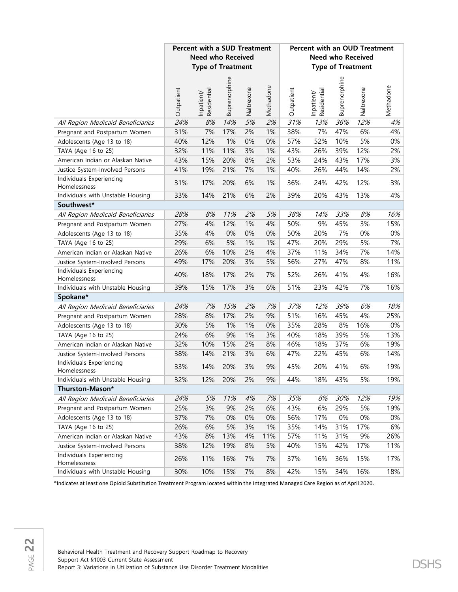|                                          | <b>Percent with a SUD Treatment</b> |                           |               |            |           |            |                           |                          |                          |           |  | <b>Percent with an OUD Treatment</b> |  |  |  |  |  |
|------------------------------------------|-------------------------------------|---------------------------|---------------|------------|-----------|------------|---------------------------|--------------------------|--------------------------|-----------|--|--------------------------------------|--|--|--|--|--|
|                                          |                                     | <b>Need who Received</b>  |               |            |           |            |                           |                          | <b>Need who Received</b> |           |  |                                      |  |  |  |  |  |
|                                          |                                     | <b>Type of Treatment</b>  |               |            |           |            |                           | <b>Type of Treatment</b> |                          |           |  |                                      |  |  |  |  |  |
|                                          | Outpatient                          | Residential<br>Inpatient/ | Buprenorphine | Naltrexone | Methadone | Outpatient | Residential<br>Inpatient/ | Buprenorphine            | Naltrexone               | Methadone |  |                                      |  |  |  |  |  |
| All Region Medicaid Beneficiaries        | 24%                                 | 8%                        | 14%           | 5%         | 2%        | 31%        | 13%                       | 36%                      | 12%                      | 4%        |  |                                      |  |  |  |  |  |
| Pregnant and Postpartum Women            | 31%                                 | 7%                        | 17%           | 2%         | 1%        | 38%        | 7%                        | 47%                      | 6%                       | 4%        |  |                                      |  |  |  |  |  |
| Adolescents (Age 13 to 18)               | 40%                                 | 12%                       | 1%            | 0%         | 0%        | 57%        | 52%                       | 10%                      | 5%                       | 0%        |  |                                      |  |  |  |  |  |
| TAYA (Age 16 to 25)                      | 32%                                 | 11%                       | 11%           | 3%         | 1%        | 43%        | 26%                       | 39%                      | 12%                      | 2%        |  |                                      |  |  |  |  |  |
| American Indian or Alaskan Native        | 43%                                 | 15%                       | 20%           | 8%         | 2%        | 53%        | 24%                       | 43%                      | 17%                      | 3%        |  |                                      |  |  |  |  |  |
| Justice System-Involved Persons          | 41%                                 | 19%                       | 21%           | 7%         | 1%        | 40%        | 26%                       | 44%                      | 14%                      | 2%        |  |                                      |  |  |  |  |  |
| Individuals Experiencing<br>Homelessness | 31%                                 | 17%                       | 20%           | 6%         | 1%        | 36%        | 24%                       | 42%                      | 12%                      | 3%        |  |                                      |  |  |  |  |  |
| Individuals with Unstable Housing        | 33%                                 | 14%                       | 21%           | 6%         | 2%        | 39%        | 20%                       | 43%                      | 13%                      | 4%        |  |                                      |  |  |  |  |  |
| Southwest*                               |                                     |                           |               |            |           |            |                           |                          |                          |           |  |                                      |  |  |  |  |  |
| All Region Medicaid Beneficiaries        | 28%                                 | 8%                        | 11%           | 2%         | 5%        | 38%        | 14%                       | 33%                      | $8%$                     | 16%       |  |                                      |  |  |  |  |  |
| Pregnant and Postpartum Women            | 27%                                 | 4%                        | 12%           | 1%         | 4%        | 50%        | 9%                        | 45%                      | 3%                       | 15%       |  |                                      |  |  |  |  |  |
| Adolescents (Age 13 to 18)               | 35%                                 | 4%                        | 0%            | 0%         | 0%        | 50%        | 20%                       | 7%                       | 0%                       | 0%        |  |                                      |  |  |  |  |  |
| TAYA (Age 16 to 25)                      | 29%                                 | 6%                        | 5%            | 1%         | 1%        | 47%        | 20%                       | 29%                      | 5%                       | 7%        |  |                                      |  |  |  |  |  |
| American Indian or Alaskan Native        | 26%                                 | 6%                        | 10%           | 2%         | 4%        | 37%        | 11%                       | 34%                      | 7%                       | 14%       |  |                                      |  |  |  |  |  |
| Justice System-Involved Persons          | 49%                                 | 17%                       | 20%           | 3%         | 5%        | 56%        | 27%                       | 47%                      | 8%                       | 11%       |  |                                      |  |  |  |  |  |
| Individuals Experiencing<br>Homelessness | 40%                                 | 18%                       | 17%           | 2%         | 7%        | 52%        | 26%                       | 41%                      | 4%                       | 16%       |  |                                      |  |  |  |  |  |
| Individuals with Unstable Housing        | 39%                                 | 15%                       | 17%           | 3%         | 6%        | 51%        | 23%                       | 42%                      | 7%                       | 16%       |  |                                      |  |  |  |  |  |
| Spokane*                                 |                                     |                           |               |            |           |            |                           |                          |                          |           |  |                                      |  |  |  |  |  |
| All Region Medicaid Beneficiaries        | 24%                                 | 7%                        | 15%           | 2%         | 7%        | 37%        | 12%                       | 39%                      | 6%                       | 18%       |  |                                      |  |  |  |  |  |
| Pregnant and Postpartum Women            | 28%                                 | 8%                        | 17%           | 2%         | 9%        | 51%        | 16%                       | 45%                      | 4%                       | 25%       |  |                                      |  |  |  |  |  |
| Adolescents (Age 13 to 18)               | 30%                                 | 5%                        | 1%            | 1%         | 0%        | 35%        | 28%                       | 8%                       | 16%                      | 0%        |  |                                      |  |  |  |  |  |
| TAYA (Age 16 to 25)                      | 24%                                 | 6%                        | 9%            | 1%         | 3%        | 40%        | 18%                       | 39%                      | 5%                       | 13%       |  |                                      |  |  |  |  |  |
| American Indian or Alaskan Native        | 32%                                 | 10%                       | 15%           | 2%         | 8%        | 46%        | 18%                       | 37%                      | 6%                       | 19%       |  |                                      |  |  |  |  |  |
| Justice System-Involved Persons          | 38%                                 | 14%                       | 21%           | 3%         | 6%        | 47%        | 22%                       | 45%                      | 6%                       | 14%       |  |                                      |  |  |  |  |  |
| Individuals Experiencing<br>Homelessness | 33%                                 | 14%                       | 20%           | 3%         | 9%        | 45%        | 20%                       | 41%                      | 6%                       | 19%       |  |                                      |  |  |  |  |  |
| Individuals with Unstable Housing        | 32%                                 | 12%                       | 20%           | 2%         | 9%        | 44%        | 18%                       | 43%                      | 5%                       | 19%       |  |                                      |  |  |  |  |  |
| Thurston-Mason*                          |                                     |                           |               |            |           |            |                           |                          |                          |           |  |                                      |  |  |  |  |  |
| All Region Medicaid Beneficiaries        | 24%                                 | 5%                        | 11%           | 4%         | 7%        | 35%        | 8%                        | 30%                      | 12%                      | 19%       |  |                                      |  |  |  |  |  |
| Pregnant and Postpartum Women            | 25%                                 | 3%                        | 9%            | 2%         | 6%        | 43%        | 6%                        | 29%                      | 5%                       | 19%       |  |                                      |  |  |  |  |  |
| Adolescents (Age 13 to 18)               | 37%                                 | 7%                        | 0%            | 0%         | 0%        | 56%        | 17%                       | 0%                       | 0%                       | 0%        |  |                                      |  |  |  |  |  |
| TAYA (Age 16 to 25)                      | 26%                                 | 6%                        | 5%            | 3%         | 1%        | 35%        | 14%                       | 31%                      | 17%                      | 6%        |  |                                      |  |  |  |  |  |
| American Indian or Alaskan Native        | 43%                                 | 8%                        | 13%           | 4%         | 11%       | 57%        | 11%                       | 31%                      | 9%                       | 26%       |  |                                      |  |  |  |  |  |
| Justice System-Involved Persons          | 38%                                 | 12%                       | 19%           | 8%         | 5%        | 40%        | 15%                       | 42%                      | 17%                      | 11%       |  |                                      |  |  |  |  |  |
| Individuals Experiencing<br>Homelessness | 26%                                 | 11%                       | 16%           | 7%         | 7%        | 37%        | 16%                       | 36%                      | 15%                      | 17%       |  |                                      |  |  |  |  |  |
| Individuals with Unstable Housing        | 30%                                 | 10%                       | 15%           | 7%         | 8%        | 42%        | 15%                       | 34%                      | 16%                      | 18%       |  |                                      |  |  |  |  |  |

\*Indicates at least one Opioid Substitution Treatment Program located within the Integrated Managed Care Region as of April 2020.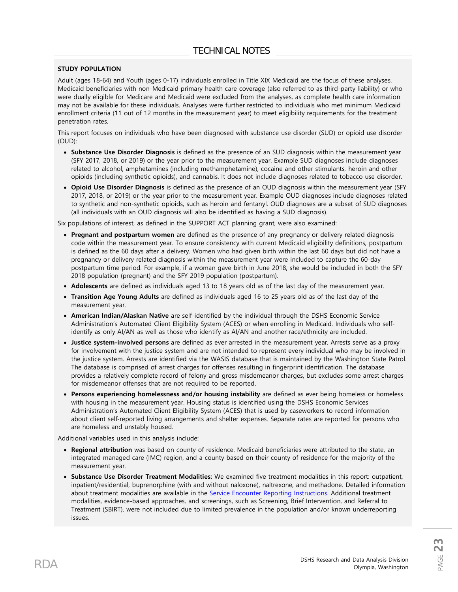### **STUDY POPULATION**

Adult (ages 18-64) and Youth (ages 0-17) individuals enrolled in Title XIX Medicaid are the focus of these analyses. Medicaid beneficiaries with non-Medicaid primary health care coverage (also referred to as third-party liability) or who were dually eligible for Medicare and Medicaid were excluded from the analyses, as complete health care information may not be available for these individuals. Analyses were further restricted to individuals who met minimum Medicaid enrollment criteria (11 out of 12 months in the measurement year) to meet eligibility requirements for the treatment penetration rates.

This report focuses on individuals who have been diagnosed with substance use disorder (SUD) or opioid use disorder (OUD):

- **Substance Use Disorder Diagnosis** is defined as the presence of an SUD diagnosis within the measurement year (SFY 2017, 2018, or 2019) or the year prior to the measurement year. Example SUD diagnoses include diagnoses related to alcohol, amphetamines (including methamphetamine), cocaine and other stimulants, heroin and other opioids (including synthetic opioids), and cannabis. It does not include diagnoses related to tobacco use disorder.
- **Opioid Use Disorder Diagnosis** is defined as the presence of an OUD diagnosis within the measurement year (SFY 2017, 2018, or 2019) or the year prior to the measurement year. Example OUD diagnoses include diagnoses related to synthetic and non-synthetic opioids, such as heroin and fentanyl. OUD diagnoses are a subset of SUD diagnoses (all individuals with an OUD diagnosis will also be identified as having a SUD diagnosis).

Six populations of interest, as defined in the SUPPORT ACT planning grant, were also examined:

- **Pregnant and postpartum women** are defined as the presence of any pregnancy or delivery related diagnosis code within the measurement year. To ensure consistency with current Medicaid eligibility definitions, postpartum is defined as the 60 days after a delivery. Women who had given birth within the last 60 days but did not have a pregnancy or delivery related diagnosis within the measurement year were included to capture the 60-day postpartum time period. For example, if a woman gave birth in June 2018, she would be included in both the SFY 2018 population (pregnant) and the SFY 2019 population (postpartum).
- **Adolescents** are defined as individuals aged 13 to 18 years old as of the last day of the measurement year.
- **Transition Age Young Adults** are defined as individuals aged 16 to 25 years old as of the last day of the measurement year.
- **American Indian/Alaskan Native** are self-identified by the individual through the DSHS Economic Service Administration's Automated Client Eligibility System (ACES) or when enrolling in Medicaid. Individuals who selfidentify as only AI/AN as well as those who identify as AI/AN and another race/ethnicity are included.
- **Justice system-involved persons** are defined as ever arrested in the measurement year. Arrests serve as a proxy for involvement with the justice system and are not intended to represent every individual who may be involved in the justice system. Arrests are identified via the WASIS database that is maintained by the Washington State Patrol. The database is comprised of arrest charges for offenses resulting in fingerprint identification. The database provides a relatively complete record of felony and gross misdemeanor charges, but excludes some arrest charges for misdemeanor offenses that are not required to be reported.
- **Persons experiencing homelessness and/or housing instability** are defined as ever being homeless or homeless with housing in the measurement year. Housing status is identified using the DSHS Economic Services Administration's Automated Client Eligibility System (ACES) that is used by caseworkers to record information about client self-reported living arrangements and shelter expenses. Separate rates are reported for persons who are homeless and unstably housed.

Additional variables used in this analysis include:

- **Regional attribution** was based on county of residence. Medicaid beneficiaries were attributed to the state, an integrated managed care (IMC) region, and a county based on their county of residence for the majority of the measurement year.
- **Substance Use Disorder Treatment Modalities:** We examined five treatment modalities in this report: outpatient, inpatient/residential, buprenorphine (with and without naloxone), naltrexone, and methadone. Detailed information about treatment modalities are available in the [Service Encounter Reporting Instructions.](https://www.hca.wa.gov/billers-providers-partners/behavioral-health-recovery/service-encounter-reporting-instructions-seri) Additional treatment modalities, evidence-based approaches, and screenings, such as Screening, Brief Intervention, and Referral to Treatment (SBIRT), were not included due to limited prevalence in the population and/or known underreporting issues.